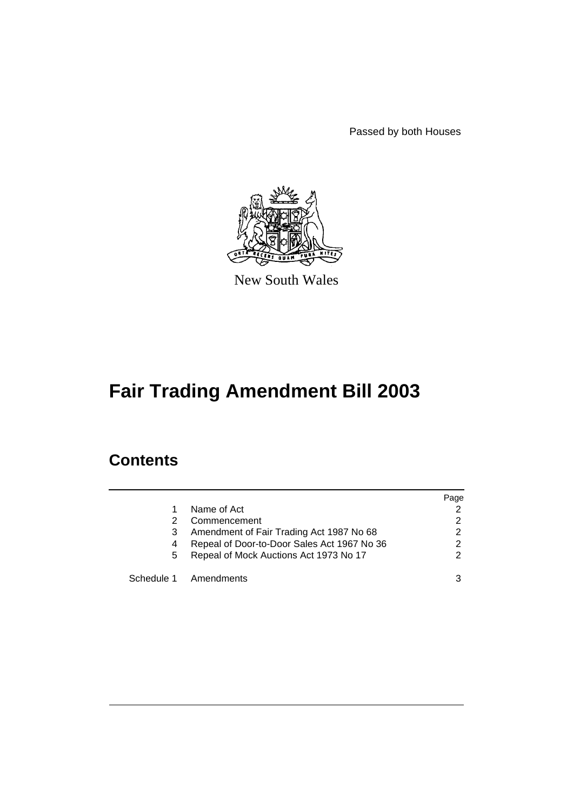Passed by both Houses



New South Wales

# **Fair Trading Amendment Bill 2003**

# **Contents**

|    |                                             | Page          |
|----|---------------------------------------------|---------------|
|    | Name of Act                                 |               |
| 2  | Commencement                                | 2             |
| 3  | Amendment of Fair Trading Act 1987 No 68    | 2             |
| 4  | Repeal of Door-to-Door Sales Act 1967 No 36 | 2             |
| 5. | Repeal of Mock Auctions Act 1973 No 17      | $\mathcal{P}$ |
|    | Schedule 1 Amendments                       |               |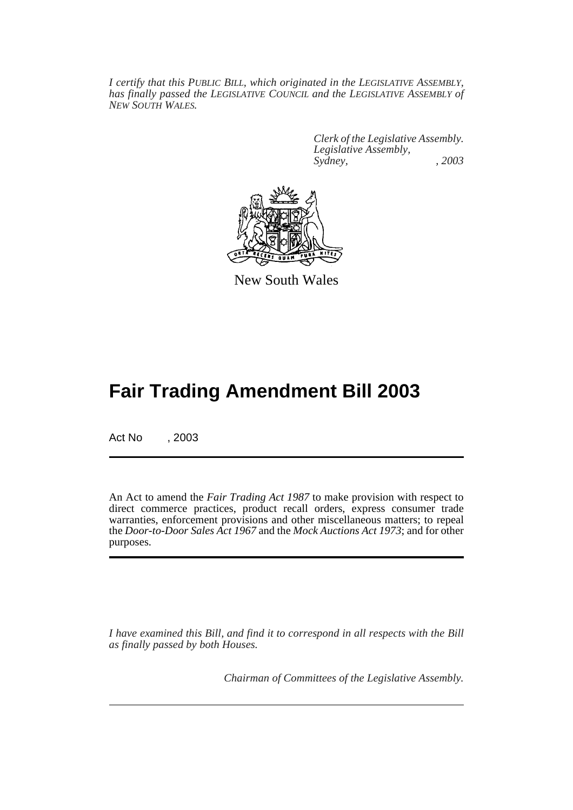*I certify that this PUBLIC BILL, which originated in the LEGISLATIVE ASSEMBLY, has finally passed the LEGISLATIVE COUNCIL and the LEGISLATIVE ASSEMBLY of NEW SOUTH WALES.*

> *Clerk of the Legislative Assembly. Legislative Assembly, Sydney, , 2003*



New South Wales

# **Fair Trading Amendment Bill 2003**

Act No , 2003

An Act to amend the *Fair Trading Act 1987* to make provision with respect to direct commerce practices, product recall orders, express consumer trade warranties, enforcement provisions and other miscellaneous matters; to repeal the *Door-to-Door Sales Act 1967* and the *Mock Auctions Act 1973*; and for other purposes.

*I have examined this Bill, and find it to correspond in all respects with the Bill as finally passed by both Houses.*

*Chairman of Committees of the Legislative Assembly.*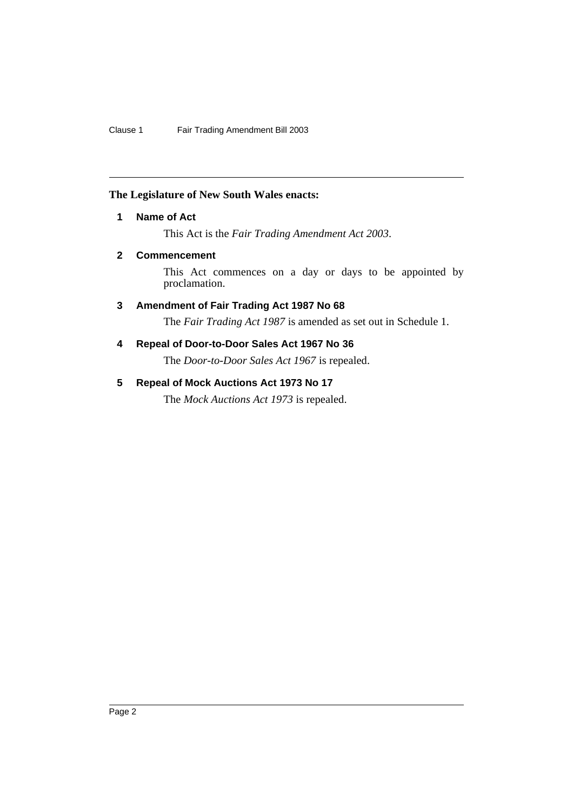# <span id="page-2-0"></span>**The Legislature of New South Wales enacts:**

# **1 Name of Act**

This Act is the *Fair Trading Amendment Act 2003*.

# <span id="page-2-1"></span>**2 Commencement**

This Act commences on a day or days to be appointed by proclamation.

# <span id="page-2-2"></span>**3 Amendment of Fair Trading Act 1987 No 68**

The *Fair Trading Act 1987* is amended as set out in Schedule 1.

# <span id="page-2-3"></span>**4 Repeal of Door-to-Door Sales Act 1967 No 36**

The *Door-to-Door Sales Act 1967* is repealed.

# <span id="page-2-4"></span>**5 Repeal of Mock Auctions Act 1973 No 17**

The *Mock Auctions Act 1973* is repealed.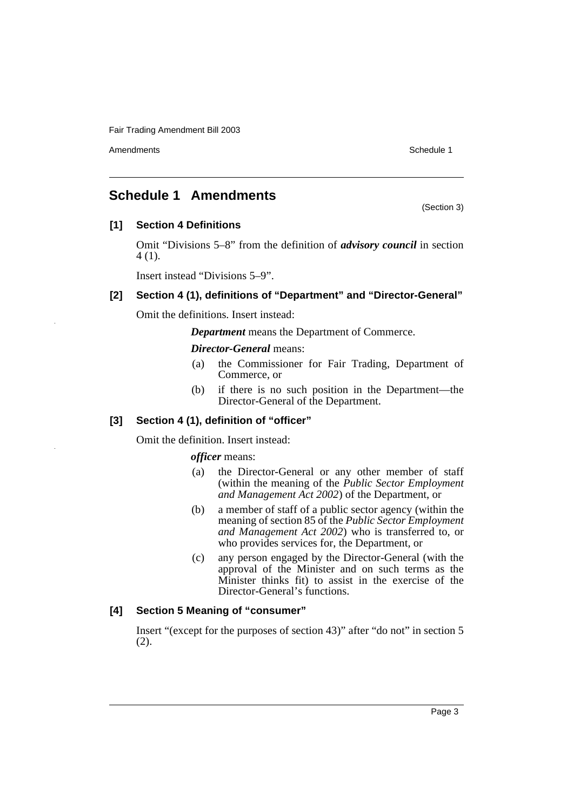Amendments **Schedule 1** and the set of the set of the set of the set of the set of the set of the set of the set of the set of the set of the set of the set of the set of the set of the set of the set of the set of the set

(Section 3)

# <span id="page-3-0"></span>**Schedule 1 Amendments**

# **[1] Section 4 Definitions**

Omit "Divisions 5–8" from the definition of *advisory council* in section 4 (1).

Insert instead "Divisions 5–9".

# **[2] Section 4 (1), definitions of "Department" and "Director-General"**

Omit the definitions. Insert instead:

*Department* means the Department of Commerce.

*Director-General* means:

- (a) the Commissioner for Fair Trading, Department of Commerce, or
- (b) if there is no such position in the Department—the Director-General of the Department.

# **[3] Section 4 (1), definition of "officer"**

Omit the definition. Insert instead:

# *officer* means:

- (a) the Director-General or any other member of staff (within the meaning of the *Public Sector Employment and Management Act 2002*) of the Department, or
- (b) a member of staff of a public sector agency (within the meaning of section 85 of the *Public Sector Employment and Management Act 2002*) who is transferred to, or who provides services for, the Department, or
- (c) any person engaged by the Director-General (with the approval of the Minister and on such terms as the Minister thinks fit) to assist in the exercise of the Director-General's functions.

# **[4] Section 5 Meaning of "consumer"**

Insert "(except for the purposes of section 43)" after "do not" in section 5  $(2).$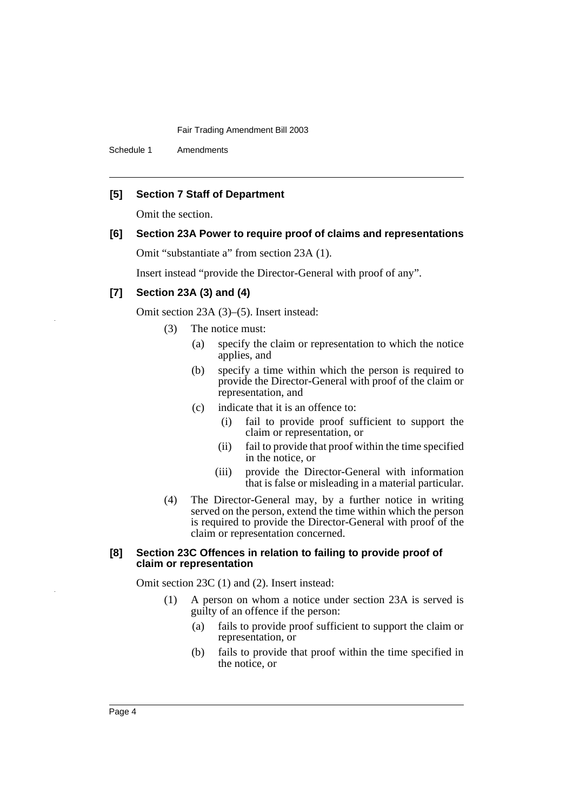Schedule 1 Amendments

# **[5] Section 7 Staff of Department**

Omit the section.

# **[6] Section 23A Power to require proof of claims and representations**

Omit "substantiate a" from section 23A (1).

Insert instead "provide the Director-General with proof of any".

# **[7] Section 23A (3) and (4)**

Omit section 23A (3)–(5). Insert instead:

- (3) The notice must:
	- (a) specify the claim or representation to which the notice applies, and
	- (b) specify a time within which the person is required to provide the Director-General with proof of the claim or representation, and
	- (c) indicate that it is an offence to:
		- (i) fail to provide proof sufficient to support the claim or representation, or
		- (ii) fail to provide that proof within the time specified in the notice, or
		- (iii) provide the Director-General with information that is false or misleading in a material particular.
- (4) The Director-General may, by a further notice in writing served on the person, extend the time within which the person is required to provide the Director-General with proof of the claim or representation concerned.

### **[8] Section 23C Offences in relation to failing to provide proof of claim or representation**

Omit section 23C (1) and (2). Insert instead:

- (1) A person on whom a notice under section 23A is served is guilty of an offence if the person:
	- (a) fails to provide proof sufficient to support the claim or representation, or
	- (b) fails to provide that proof within the time specified in the notice, or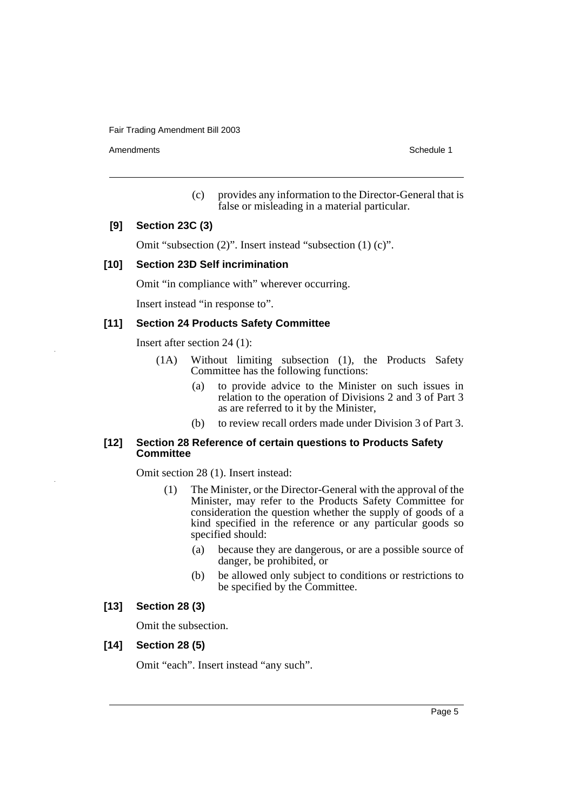Amendments **Schedule 1** and the set of the set of the set of the set of the set of the set of the set of the set of the set of the set of the set of the set of the set of the set of the set of the set of the set of the set

(c) provides any information to the Director-General that is false or misleading in a material particular.

# **[9] Section 23C (3)**

Omit "subsection (2)". Insert instead "subsection (1) (c)".

# **[10] Section 23D Self incrimination**

Omit "in compliance with" wherever occurring.

Insert instead "in response to".

# **[11] Section 24 Products Safety Committee**

Insert after section 24 (1):

- (1A) Without limiting subsection (1), the Products Safety Committee has the following functions:
	- (a) to provide advice to the Minister on such issues in relation to the operation of Divisions 2 and 3 of Part 3 as are referred to it by the Minister,
	- (b) to review recall orders made under Division 3 of Part 3.

# **[12] Section 28 Reference of certain questions to Products Safety Committee**

Omit section 28 (1). Insert instead:

- (1) The Minister, or the Director-General with the approval of the Minister, may refer to the Products Safety Committee for consideration the question whether the supply of goods of a kind specified in the reference or any particular goods so specified should:
	- (a) because they are dangerous, or are a possible source of danger, be prohibited, or
	- (b) be allowed only subject to conditions or restrictions to be specified by the Committee.

# **[13] Section 28 (3)**

Omit the subsection.

# **[14] Section 28 (5)**

Omit "each". Insert instead "any such".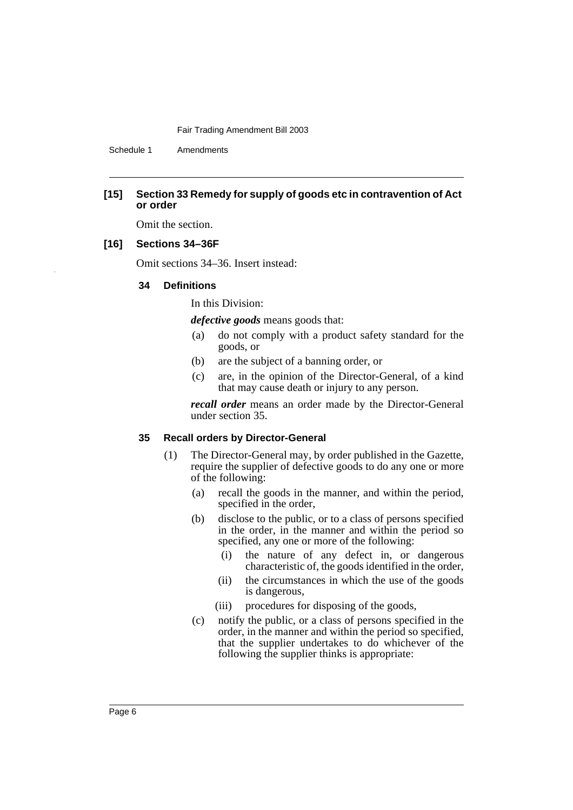Schedule 1 Amendments

# **[15] Section 33 Remedy for supply of goods etc in contravention of Act or order**

Omit the section.

# **[16] Sections 34–36F**

Omit sections 34–36. Insert instead:

# **34 Definitions**

In this Division:

*defective goods* means goods that:

- (a) do not comply with a product safety standard for the goods, or
- (b) are the subject of a banning order, or
- (c) are, in the opinion of the Director-General, of a kind that may cause death or injury to any person.

*recall order* means an order made by the Director-General under section 35.

### **35 Recall orders by Director-General**

- (1) The Director-General may, by order published in the Gazette, require the supplier of defective goods to do any one or more of the following:
	- (a) recall the goods in the manner, and within the period, specified in the order,
	- (b) disclose to the public, or to a class of persons specified in the order, in the manner and within the period so specified, any one or more of the following:
		- (i) the nature of any defect in, or dangerous characteristic of, the goods identified in the order,
		- (ii) the circumstances in which the use of the goods is dangerous,
		- (iii) procedures for disposing of the goods,
	- (c) notify the public, or a class of persons specified in the order, in the manner and within the period so specified, that the supplier undertakes to do whichever of the following the supplier thinks is appropriate: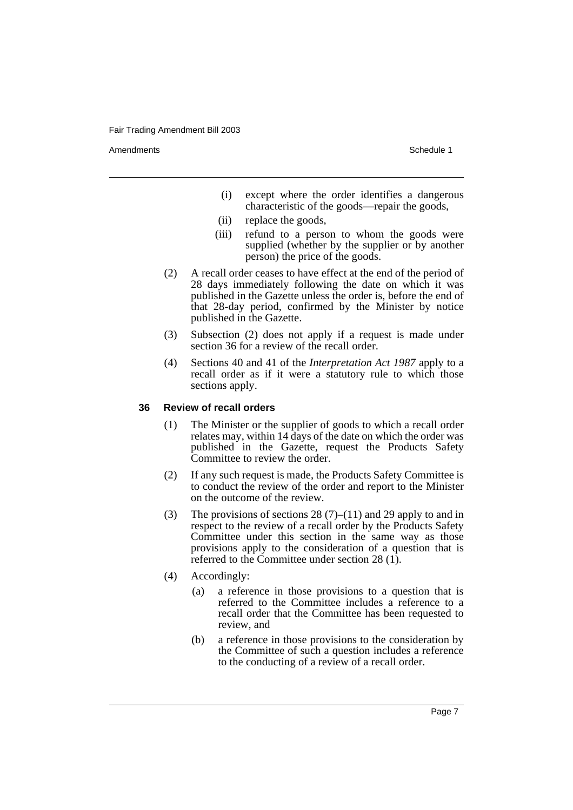Amendments **Schedule 1** and the set of the set of the set of the set of the set of the set of the set of the set of the set of the set of the set of the set of the set of the set of the set of the set of the set of the set

- (i) except where the order identifies a dangerous characteristic of the goods—repair the goods,
- (ii) replace the goods,
- (iii) refund to a person to whom the goods were supplied (whether by the supplier or by another person) the price of the goods.
- (2) A recall order ceases to have effect at the end of the period of 28 days immediately following the date on which it was published in the Gazette unless the order is, before the end of that 28-day period, confirmed by the Minister by notice published in the Gazette.
- (3) Subsection (2) does not apply if a request is made under section 36 for a review of the recall order.
- (4) Sections 40 and 41 of the *Interpretation Act 1987* apply to a recall order as if it were a statutory rule to which those sections apply.

### **36 Review of recall orders**

- (1) The Minister or the supplier of goods to which a recall order relates may, within 14 days of the date on which the order was published in the Gazette, request the Products Safety Committee to review the order.
- (2) If any such request is made, the Products Safety Committee is to conduct the review of the order and report to the Minister on the outcome of the review.
- (3) The provisions of sections  $28(7)$ –(11) and  $29$  apply to and in respect to the review of a recall order by the Products Safety Committee under this section in the same way as those provisions apply to the consideration of a question that is referred to the Committee under section 28 (1).
- (4) Accordingly:
	- (a) a reference in those provisions to a question that is referred to the Committee includes a reference to a recall order that the Committee has been requested to review, and
	- (b) a reference in those provisions to the consideration by the Committee of such a question includes a reference to the conducting of a review of a recall order.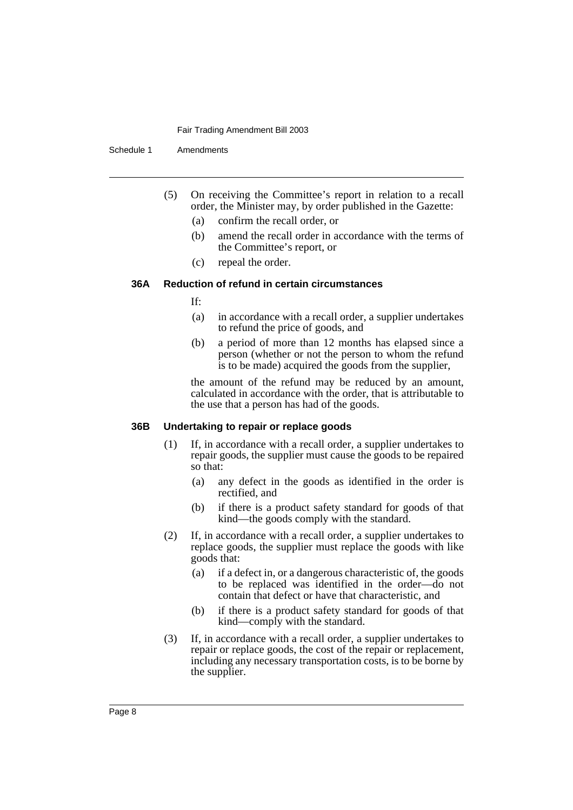Schedule 1 Amendments

- (5) On receiving the Committee's report in relation to a recall order, the Minister may, by order published in the Gazette:
	- (a) confirm the recall order, or
	- (b) amend the recall order in accordance with the terms of the Committee's report, or
	- (c) repeal the order.

# **36A Reduction of refund in certain circumstances**

If:

- (a) in accordance with a recall order, a supplier undertakes to refund the price of goods, and
- (b) a period of more than 12 months has elapsed since a person (whether or not the person to whom the refund is to be made) acquired the goods from the supplier,

the amount of the refund may be reduced by an amount, calculated in accordance with the order, that is attributable to the use that a person has had of the goods.

### **36B Undertaking to repair or replace goods**

- (1) If, in accordance with a recall order, a supplier undertakes to repair goods, the supplier must cause the goods to be repaired so that:
	- (a) any defect in the goods as identified in the order is rectified, and
	- (b) if there is a product safety standard for goods of that kind—the goods comply with the standard.
- (2) If, in accordance with a recall order, a supplier undertakes to replace goods, the supplier must replace the goods with like goods that:
	- (a) if a defect in, or a dangerous characteristic of, the goods to be replaced was identified in the order—do not contain that defect or have that characteristic, and
	- (b) if there is a product safety standard for goods of that kind—comply with the standard.
- (3) If, in accordance with a recall order, a supplier undertakes to repair or replace goods, the cost of the repair or replacement, including any necessary transportation costs, is to be borne by the supplier.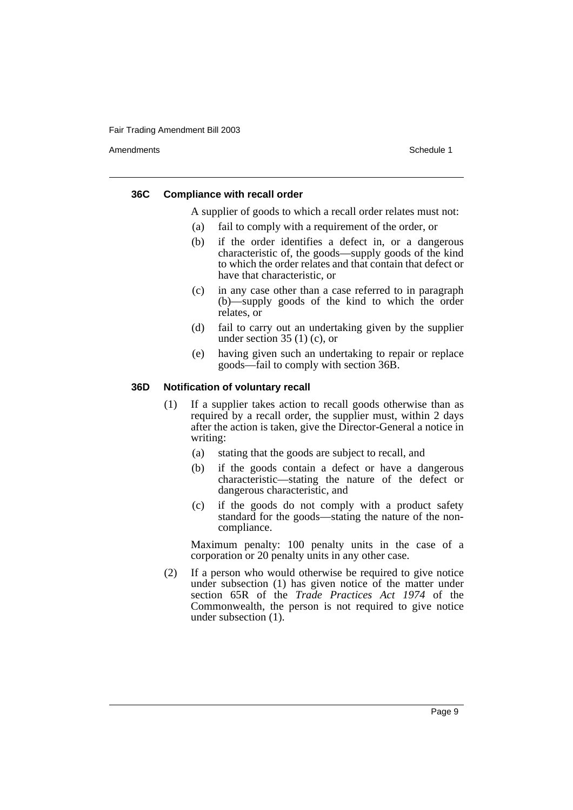Amendments **Schedule 1** and the set of the set of the set of the set of the set of the set of the set of the set of the set of the set of the set of the set of the set of the set of the set of the set of the set of the set

### **36C Compliance with recall order**

A supplier of goods to which a recall order relates must not:

- (a) fail to comply with a requirement of the order, or
- (b) if the order identifies a defect in, or a dangerous characteristic of, the goods—supply goods of the kind to which the order relates and that contain that defect or have that characteristic, or
- (c) in any case other than a case referred to in paragraph (b)—supply goods of the kind to which the order relates, or
- (d) fail to carry out an undertaking given by the supplier under section  $35(1)(c)$ , or
- (e) having given such an undertaking to repair or replace goods—fail to comply with section 36B.

# **36D Notification of voluntary recall**

- (1) If a supplier takes action to recall goods otherwise than as required by a recall order, the supplier must, within 2 days after the action is taken, give the Director-General a notice in writing:
	- (a) stating that the goods are subject to recall, and
	- (b) if the goods contain a defect or have a dangerous characteristic—stating the nature of the defect or dangerous characteristic, and
	- (c) if the goods do not comply with a product safety standard for the goods—stating the nature of the noncompliance.

Maximum penalty: 100 penalty units in the case of a corporation or 20 penalty units in any other case.

(2) If a person who would otherwise be required to give notice under subsection (1) has given notice of the matter under section 65R of the *Trade Practices Act 1974* of the Commonwealth, the person is not required to give notice under subsection (1).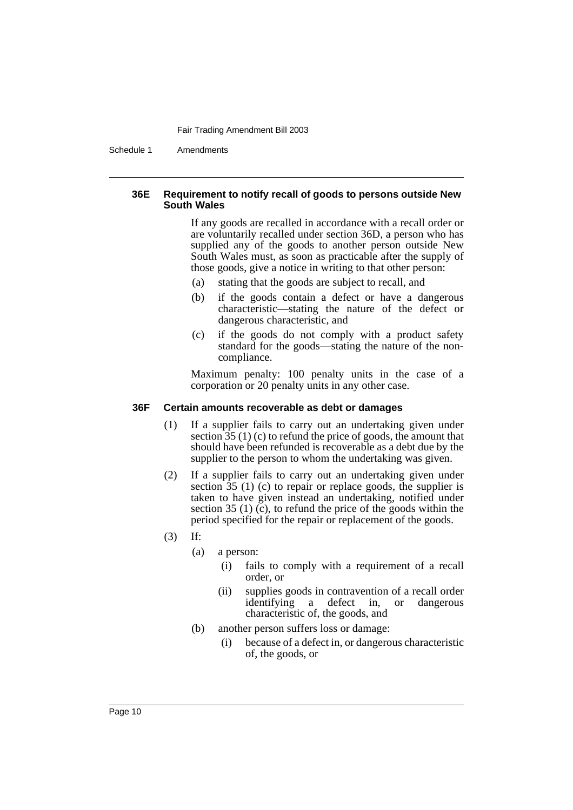Schedule 1 Amendments

# **36E Requirement to notify recall of goods to persons outside New South Wales**

If any goods are recalled in accordance with a recall order or are voluntarily recalled under section 36D, a person who has supplied any of the goods to another person outside New South Wales must, as soon as practicable after the supply of those goods, give a notice in writing to that other person:

- (a) stating that the goods are subject to recall, and
- (b) if the goods contain a defect or have a dangerous characteristic—stating the nature of the defect or dangerous characteristic, and
- (c) if the goods do not comply with a product safety standard for the goods—stating the nature of the noncompliance.

Maximum penalty: 100 penalty units in the case of a corporation or 20 penalty units in any other case.

# **36F Certain amounts recoverable as debt or damages**

- (1) If a supplier fails to carry out an undertaking given under section  $35(1)(c)$  to refund the price of goods, the amount that should have been refunded is recoverable as a debt due by the supplier to the person to whom the undertaking was given.
- (2) If a supplier fails to carry out an undertaking given under section  $35$  (1) (c) to repair or replace goods, the supplier is taken to have given instead an undertaking, notified under section 35 (1) (c), to refund the price of the goods within the period specified for the repair or replacement of the goods.
- (3) If:
	- (a) a person:
		- (i) fails to comply with a requirement of a recall order, or
		- (ii) supplies goods in contravention of a recall order identifying a defect in, or dangerous characteristic of, the goods, and
	- (b) another person suffers loss or damage:
		- (i) because of a defect in, or dangerous characteristic of, the goods, or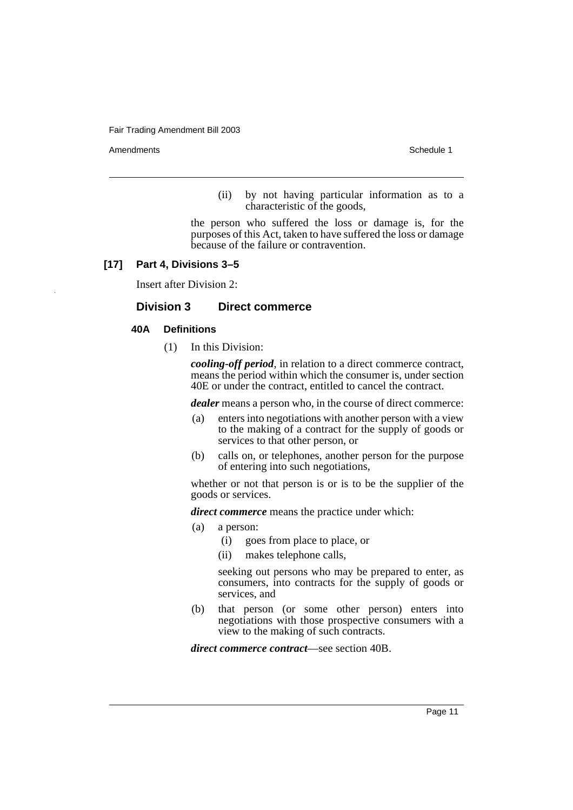Amendments **Schedule 1** and the set of the set of the set of the set of the set of the set of the set of the set of the set of the set of the set of the set of the set of the set of the set of the set of the set of the set

(ii) by not having particular information as to a characteristic of the goods,

the person who suffered the loss or damage is, for the purposes of this Act, taken to have suffered the loss or damage because of the failure or contravention.

# **[17] Part 4, Divisions 3–5**

Insert after Division 2:

# **Division 3 Direct commerce**

### **40A Definitions**

(1) In this Division:

*cooling-off period*, in relation to a direct commerce contract, means the period within which the consumer is, under section 40E or under the contract, entitled to cancel the contract.

*dealer* means a person who, in the course of direct commerce:

- (a) enters into negotiations with another person with a view to the making of a contract for the supply of goods or services to that other person, or
- (b) calls on, or telephones, another person for the purpose of entering into such negotiations,

whether or not that person is or is to be the supplier of the goods or services.

*direct commerce* means the practice under which:

- (a) a person:
	- (i) goes from place to place, or
	- (ii) makes telephone calls,

seeking out persons who may be prepared to enter, as consumers, into contracts for the supply of goods or services, and

(b) that person (or some other person) enters into negotiations with those prospective consumers with a view to the making of such contracts.

*direct commerce contract*—see section 40B.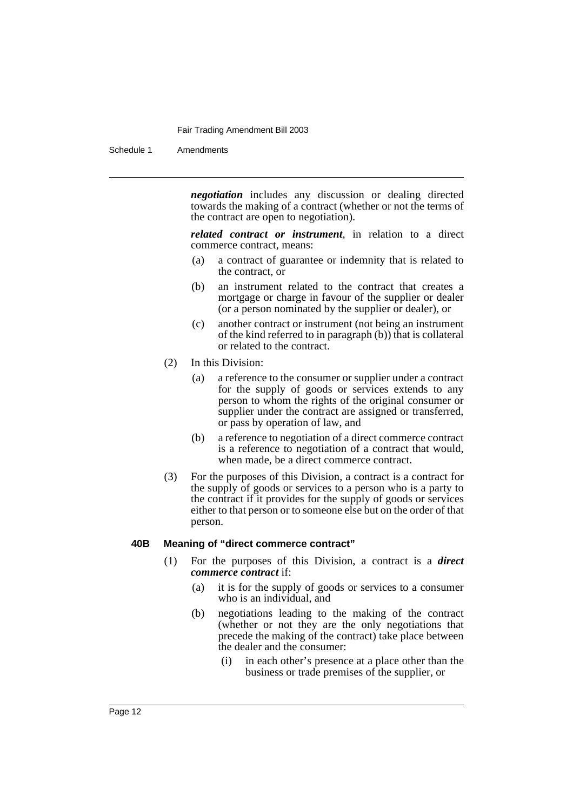Schedule 1 Amendments

*negotiation* includes any discussion or dealing directed towards the making of a contract (whether or not the terms of the contract are open to negotiation).

*related contract or instrument*, in relation to a direct commerce contract, means:

- (a) a contract of guarantee or indemnity that is related to the contract, or
- (b) an instrument related to the contract that creates a mortgage or charge in favour of the supplier or dealer (or a person nominated by the supplier or dealer), or
- (c) another contract or instrument (not being an instrument of the kind referred to in paragraph (b)) that is collateral or related to the contract.
- (2) In this Division:
	- (a) a reference to the consumer or supplier under a contract for the supply of goods or services extends to any person to whom the rights of the original consumer or supplier under the contract are assigned or transferred, or pass by operation of law, and
	- (b) a reference to negotiation of a direct commerce contract is a reference to negotiation of a contract that would, when made, be a direct commerce contract.
- (3) For the purposes of this Division, a contract is a contract for the supply of goods or services to a person who is a party to the contract if it provides for the supply of goods or services either to that person or to someone else but on the order of that person.

### **40B Meaning of "direct commerce contract"**

- (1) For the purposes of this Division, a contract is a *direct commerce contract* if:
	- (a) it is for the supply of goods or services to a consumer who is an individual, and
	- (b) negotiations leading to the making of the contract (whether or not they are the only negotiations that precede the making of the contract) take place between the dealer and the consumer:
		- (i) in each other's presence at a place other than the business or trade premises of the supplier, or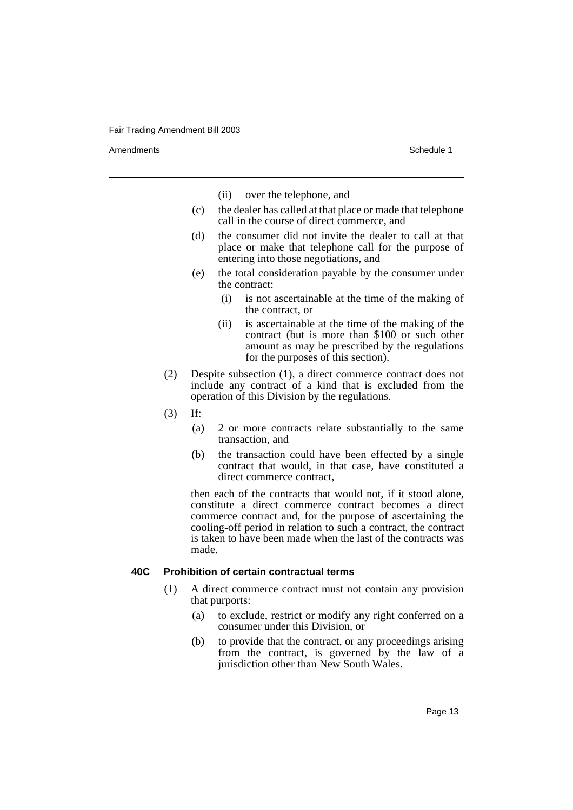Amendments **Schedule 1** and the set of the set of the set of the set of the set of the set of the set of the set of the set of the set of the set of the set of the set of the set of the set of the set of the set of the set

(ii) over the telephone, and

- (c) the dealer has called at that place or made that telephone call in the course of direct commerce, and
- (d) the consumer did not invite the dealer to call at that place or make that telephone call for the purpose of entering into those negotiations, and
- (e) the total consideration payable by the consumer under the contract:
	- (i) is not ascertainable at the time of the making of the contract, or
	- (ii) is ascertainable at the time of the making of the contract (but is more than \$100 or such other amount as may be prescribed by the regulations for the purposes of this section).
- (2) Despite subsection (1), a direct commerce contract does not include any contract of a kind that is excluded from the operation of this Division by the regulations.
- (3) If:
	- (a) 2 or more contracts relate substantially to the same transaction, and
	- (b) the transaction could have been effected by a single contract that would, in that case, have constituted a direct commerce contract,

then each of the contracts that would not, if it stood alone, constitute a direct commerce contract becomes a direct commerce contract and, for the purpose of ascertaining the cooling-off period in relation to such a contract, the contract is taken to have been made when the last of the contracts was made.

# **40C Prohibition of certain contractual terms**

- (1) A direct commerce contract must not contain any provision that purports:
	- (a) to exclude, restrict or modify any right conferred on a consumer under this Division, or
	- (b) to provide that the contract, or any proceedings arising from the contract, is governed by the law of a jurisdiction other than New South Wales.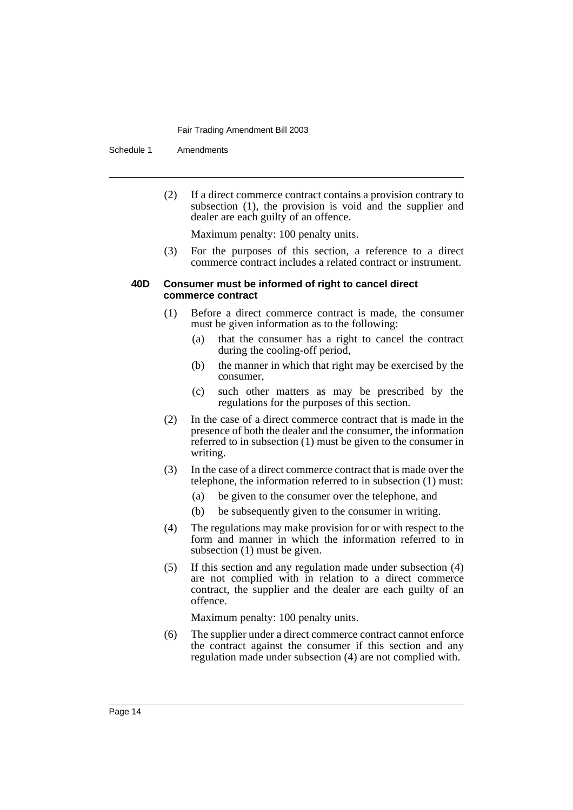Schedule 1 Amendments

(2) If a direct commerce contract contains a provision contrary to subsection (1), the provision is void and the supplier and dealer are each guilty of an offence.

Maximum penalty: 100 penalty units.

(3) For the purposes of this section, a reference to a direct commerce contract includes a related contract or instrument.

### **40D Consumer must be informed of right to cancel direct commerce contract**

- (1) Before a direct commerce contract is made, the consumer must be given information as to the following:
	- (a) that the consumer has a right to cancel the contract during the cooling-off period,
	- (b) the manner in which that right may be exercised by the consumer,
	- (c) such other matters as may be prescribed by the regulations for the purposes of this section.
- (2) In the case of a direct commerce contract that is made in the presence of both the dealer and the consumer, the information referred to in subsection (1) must be given to the consumer in writing.
- (3) In the case of a direct commerce contract that is made over the telephone, the information referred to in subsection (1) must:
	- (a) be given to the consumer over the telephone, and
	- (b) be subsequently given to the consumer in writing.
- (4) The regulations may make provision for or with respect to the form and manner in which the information referred to in subsection (1) must be given.
- (5) If this section and any regulation made under subsection (4) are not complied with in relation to a direct commerce contract, the supplier and the dealer are each guilty of an offence.

Maximum penalty: 100 penalty units.

(6) The supplier under a direct commerce contract cannot enforce the contract against the consumer if this section and any regulation made under subsection (4) are not complied with.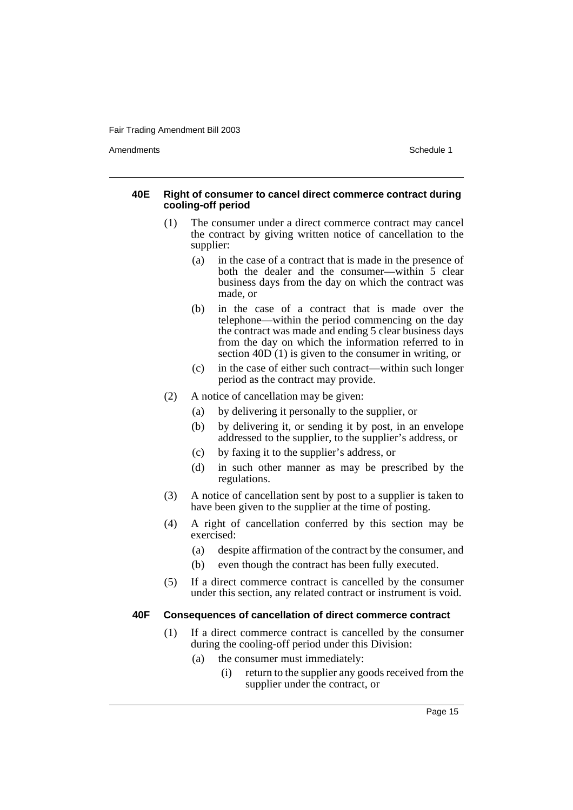Amendments **Schedule 1** and the set of the set of the set of the set of the set of the set of the set of the set of the set of the set of the set of the set of the set of the set of the set of the set of the set of the set

## **40E Right of consumer to cancel direct commerce contract during cooling-off period**

- (1) The consumer under a direct commerce contract may cancel the contract by giving written notice of cancellation to the supplier:
	- (a) in the case of a contract that is made in the presence of both the dealer and the consumer—within 5 clear business days from the day on which the contract was made, or
	- (b) in the case of a contract that is made over the telephone—within the period commencing on the day the contract was made and ending 5 clear business days from the day on which the information referred to in section 40D (1) is given to the consumer in writing, or
	- (c) in the case of either such contract—within such longer period as the contract may provide.
- (2) A notice of cancellation may be given:
	- (a) by delivering it personally to the supplier, or
	- (b) by delivering it, or sending it by post, in an envelope addressed to the supplier, to the supplier's address, or
	- (c) by faxing it to the supplier's address, or
	- (d) in such other manner as may be prescribed by the regulations.
- (3) A notice of cancellation sent by post to a supplier is taken to have been given to the supplier at the time of posting.
- (4) A right of cancellation conferred by this section may be exercised:
	- (a) despite affirmation of the contract by the consumer, and
	- (b) even though the contract has been fully executed.
- (5) If a direct commerce contract is cancelled by the consumer under this section, any related contract or instrument is void.

### **40F Consequences of cancellation of direct commerce contract**

- (1) If a direct commerce contract is cancelled by the consumer during the cooling-off period under this Division:
	- (a) the consumer must immediately:
		- (i) return to the supplier any goods received from the supplier under the contract, or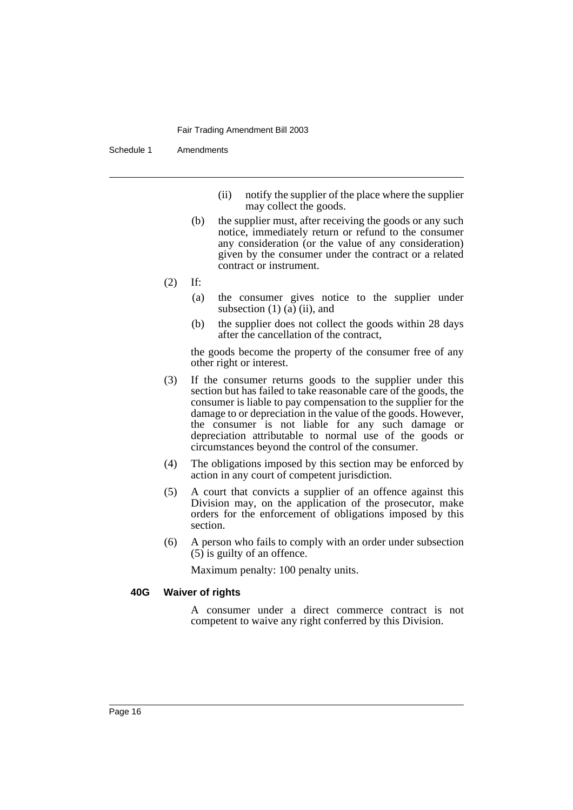Schedule 1 Amendments

- (ii) notify the supplier of the place where the supplier may collect the goods.
- (b) the supplier must, after receiving the goods or any such notice, immediately return or refund to the consumer any consideration (or the value of any consideration) given by the consumer under the contract or a related contract or instrument.
- (2) If:
	- (a) the consumer gives notice to the supplier under subsection  $(1)$   $(a)$   $(ii)$ , and
	- (b) the supplier does not collect the goods within 28 days after the cancellation of the contract,

the goods become the property of the consumer free of any other right or interest.

- (3) If the consumer returns goods to the supplier under this section but has failed to take reasonable care of the goods, the consumer is liable to pay compensation to the supplier for the damage to or depreciation in the value of the goods. However, the consumer is not liable for any such damage or depreciation attributable to normal use of the goods or circumstances beyond the control of the consumer.
- (4) The obligations imposed by this section may be enforced by action in any court of competent jurisdiction.
- (5) A court that convicts a supplier of an offence against this Division may, on the application of the prosecutor, make orders for the enforcement of obligations imposed by this section.
- (6) A person who fails to comply with an order under subsection (5) is guilty of an offence.

Maximum penalty: 100 penalty units.

## **40G Waiver of rights**

A consumer under a direct commerce contract is not competent to waive any right conferred by this Division.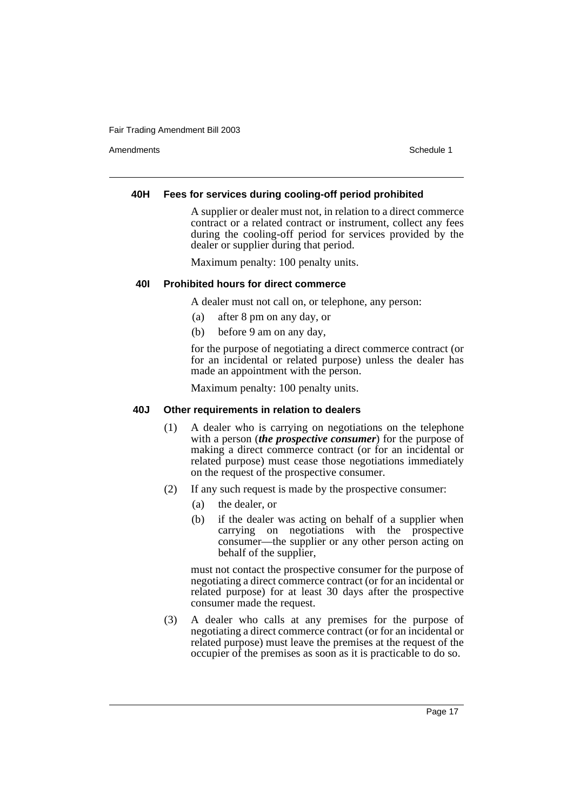Amendments **Schedule 1** and the set of the set of the set of the set of the set of the set of the set of the set of the set of the set of the set of the set of the set of the set of the set of the set of the set of the set

# **40H Fees for services during cooling-off period prohibited**

A supplier or dealer must not, in relation to a direct commerce contract or a related contract or instrument, collect any fees during the cooling-off period for services provided by the dealer or supplier during that period.

Maximum penalty: 100 penalty units.

# **40I Prohibited hours for direct commerce**

A dealer must not call on, or telephone, any person:

- (a) after 8 pm on any day, or
- (b) before 9 am on any day,

for the purpose of negotiating a direct commerce contract (or for an incidental or related purpose) unless the dealer has made an appointment with the person.

Maximum penalty: 100 penalty units.

# **40J Other requirements in relation to dealers**

- (1) A dealer who is carrying on negotiations on the telephone with a person (*the prospective consumer*) for the purpose of making a direct commerce contract (or for an incidental or related purpose) must cease those negotiations immediately on the request of the prospective consumer.
- (2) If any such request is made by the prospective consumer:
	- (a) the dealer, or
	- (b) if the dealer was acting on behalf of a supplier when carrying on negotiations with the prospective consumer—the supplier or any other person acting on behalf of the supplier,

must not contact the prospective consumer for the purpose of negotiating a direct commerce contract (or for an incidental or related purpose) for at least 30 days after the prospective consumer made the request.

(3) A dealer who calls at any premises for the purpose of negotiating a direct commerce contract (or for an incidental or related purpose) must leave the premises at the request of the occupier of the premises as soon as it is practicable to do so.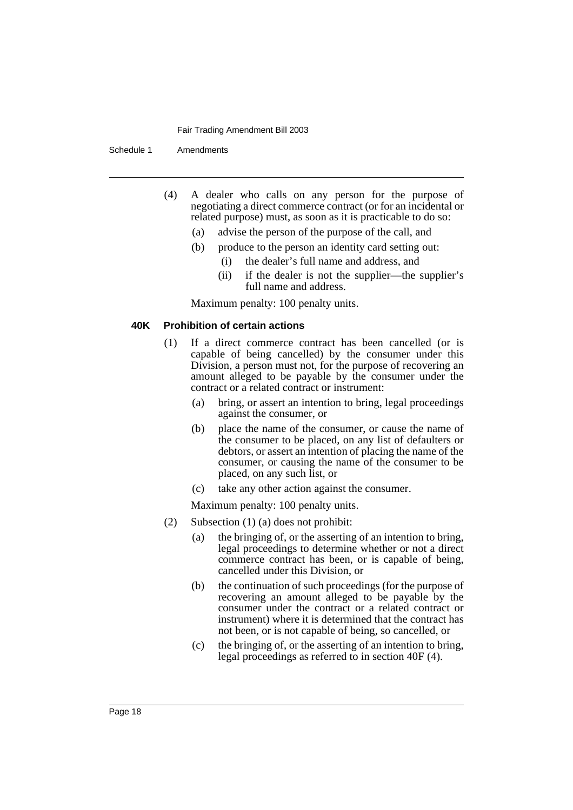Schedule 1 Amendments

- (4) A dealer who calls on any person for the purpose of negotiating a direct commerce contract (or for an incidental or related purpose) must, as soon as it is practicable to do so:
	- (a) advise the person of the purpose of the call, and
	- (b) produce to the person an identity card setting out:
		- (i) the dealer's full name and address, and
		- (ii) if the dealer is not the supplier—the supplier's full name and address.

Maximum penalty: 100 penalty units.

### **40K Prohibition of certain actions**

- (1) If a direct commerce contract has been cancelled (or is capable of being cancelled) by the consumer under this Division, a person must not, for the purpose of recovering an amount alleged to be payable by the consumer under the contract or a related contract or instrument:
	- (a) bring, or assert an intention to bring, legal proceedings against the consumer, or
	- (b) place the name of the consumer, or cause the name of the consumer to be placed, on any list of defaulters or debtors, or assert an intention of placing the name of the consumer, or causing the name of the consumer to be placed, on any such list, or
	- (c) take any other action against the consumer.

Maximum penalty: 100 penalty units.

- (2) Subsection (1) (a) does not prohibit:
	- (a) the bringing of, or the asserting of an intention to bring, legal proceedings to determine whether or not a direct commerce contract has been, or is capable of being, cancelled under this Division, or
	- (b) the continuation of such proceedings (for the purpose of recovering an amount alleged to be payable by the consumer under the contract or a related contract or instrument) where it is determined that the contract has not been, or is not capable of being, so cancelled, or
	- (c) the bringing of, or the asserting of an intention to bring, legal proceedings as referred to in section 40F (4).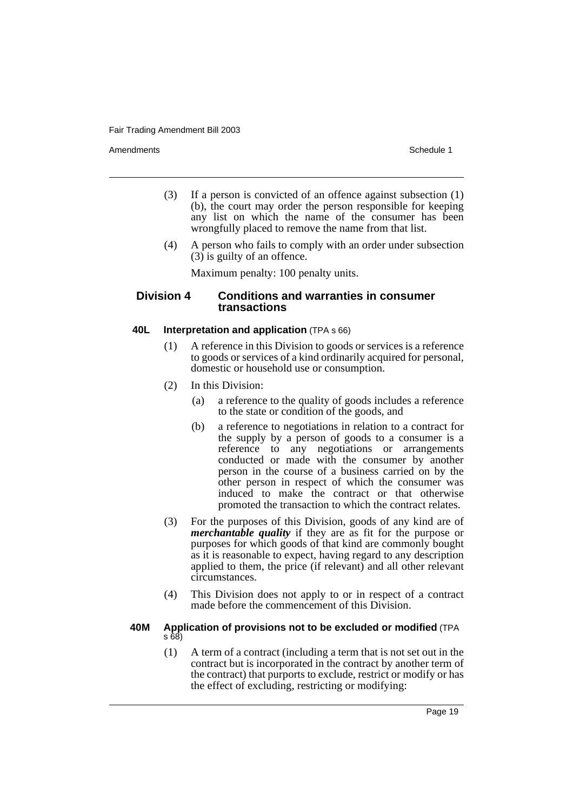Amendments **Schedule 1** and the set of the set of the set of the set of the set of the set of the set of the set of the set of the set of the set of the set of the set of the set of the set of the set of the set of the set

- (3) If a person is convicted of an offence against subsection (1) (b), the court may order the person responsible for keeping any list on which the name of the consumer has been wrongfully placed to remove the name from that list.
- (4) A person who fails to comply with an order under subsection  $(3)$  is guilty of an offence.

Maximum penalty: 100 penalty units.

# **Division 4 Conditions and warranties in consumer transactions**

# **40L Interpretation and application** (TPA s 66)

- (1) A reference in this Division to goods or services is a reference to goods or services of a kind ordinarily acquired for personal, domestic or household use or consumption.
- (2) In this Division:
	- (a) a reference to the quality of goods includes a reference to the state or condition of the goods, and
	- (b) a reference to negotiations in relation to a contract for the supply by a person of goods to a consumer is a reference to any negotiations or arrangements conducted or made with the consumer by another person in the course of a business carried on by the other person in respect of which the consumer was induced to make the contract or that otherwise promoted the transaction to which the contract relates.
- (3) For the purposes of this Division, goods of any kind are of *merchantable quality* if they are as fit for the purpose or purposes for which goods of that kind are commonly bought as it is reasonable to expect, having regard to any description applied to them, the price (if relevant) and all other relevant circumstances.
- (4) This Division does not apply to or in respect of a contract made before the commencement of this Division.

### **40M Application of provisions not to be excluded or modified** (TPA s 68)

(1) A term of a contract (including a term that is not set out in the contract but is incorporated in the contract by another term of the contract) that purports to exclude, restrict or modify or has the effect of excluding, restricting or modifying: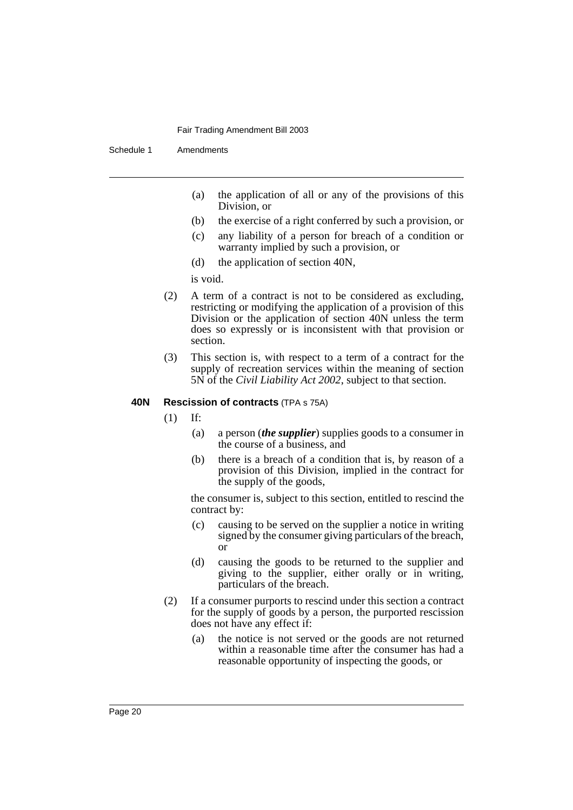Schedule 1 Amendments

- (a) the application of all or any of the provisions of this Division, or
- (b) the exercise of a right conferred by such a provision, or
- (c) any liability of a person for breach of a condition or warranty implied by such a provision, or
- (d) the application of section 40N,

is void.

- (2) A term of a contract is not to be considered as excluding, restricting or modifying the application of a provision of this Division or the application of section 40N unless the term does so expressly or is inconsistent with that provision or section.
- (3) This section is, with respect to a term of a contract for the supply of recreation services within the meaning of section 5N of the *Civil Liability Act 2002*, subject to that section.

# **40N Rescission of contracts** (TPA s 75A)

- (1) If:
	- (a) a person (*the supplier*) supplies goods to a consumer in the course of a business, and
	- (b) there is a breach of a condition that is, by reason of a provision of this Division, implied in the contract for the supply of the goods,

the consumer is, subject to this section, entitled to rescind the contract by:

- (c) causing to be served on the supplier a notice in writing signed by the consumer giving particulars of the breach, or
- (d) causing the goods to be returned to the supplier and giving to the supplier, either orally or in writing, particulars of the breach.
- (2) If a consumer purports to rescind under this section a contract for the supply of goods by a person, the purported rescission does not have any effect if:
	- (a) the notice is not served or the goods are not returned within a reasonable time after the consumer has had a reasonable opportunity of inspecting the goods, or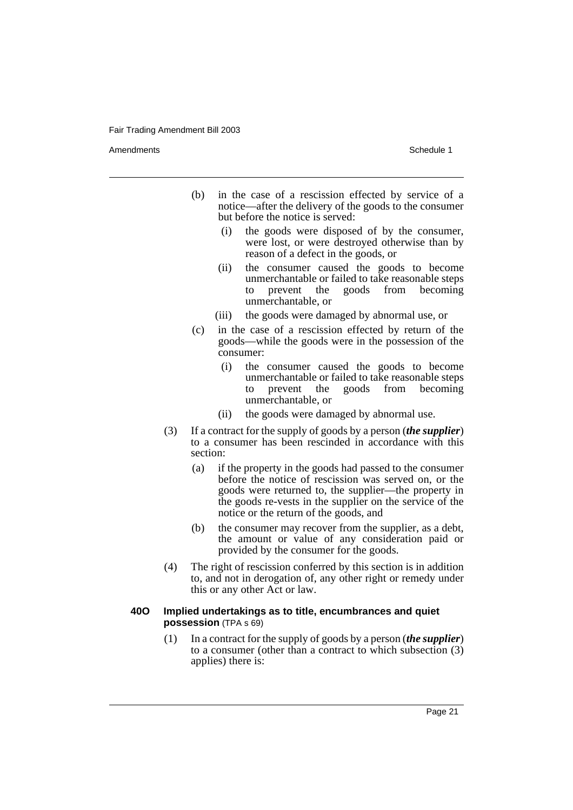Amendments **Schedule 1** and the set of the set of the set of the set of the set of the set of the set of the set of the set of the set of the set of the set of the set of the set of the set of the set of the set of the set

- (b) in the case of a rescission effected by service of a notice—after the delivery of the goods to the consumer but before the notice is served:
	- (i) the goods were disposed of by the consumer, were lost, or were destroyed otherwise than by reason of a defect in the goods, or
	- (ii) the consumer caused the goods to become unmerchantable or failed to take reasonable steps to prevent the goods from becoming unmerchantable, or
	- (iii) the goods were damaged by abnormal use, or
- (c) in the case of a rescission effected by return of the goods—while the goods were in the possession of the consumer:
	- (i) the consumer caused the goods to become unmerchantable or failed to take reasonable steps to prevent the goods from becoming unmerchantable, or
	- (ii) the goods were damaged by abnormal use.
- (3) If a contract for the supply of goods by a person (*the supplier*) to a consumer has been rescinded in accordance with this section:
	- (a) if the property in the goods had passed to the consumer before the notice of rescission was served on, or the goods were returned to, the supplier—the property in the goods re-vests in the supplier on the service of the notice or the return of the goods, and
	- (b) the consumer may recover from the supplier, as a debt, the amount or value of any consideration paid or provided by the consumer for the goods.
- (4) The right of rescission conferred by this section is in addition to, and not in derogation of, any other right or remedy under this or any other Act or law.

### **40O Implied undertakings as to title, encumbrances and quiet possession** (TPA s 69)

(1) In a contract for the supply of goods by a person (*the supplier*) to a consumer (other than a contract to which subsection (3) applies) there is: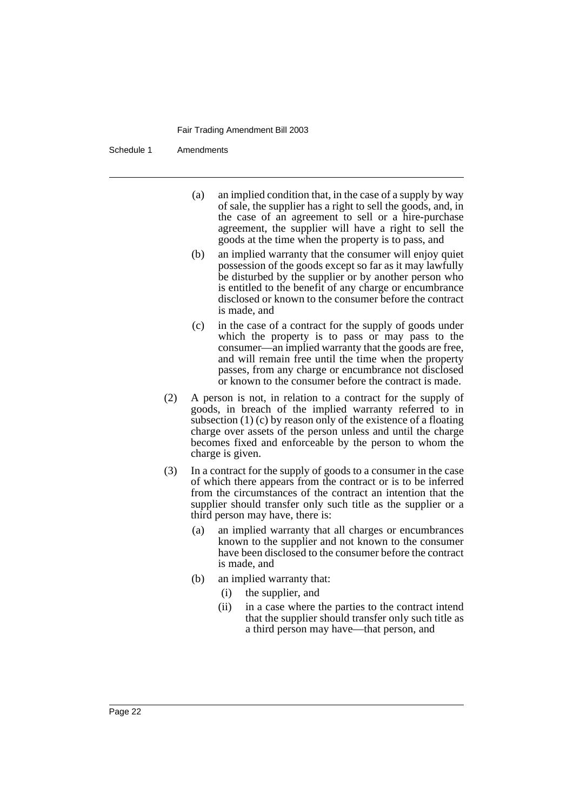Schedule 1 Amendments

- (a) an implied condition that, in the case of a supply by way of sale, the supplier has a right to sell the goods, and, in the case of an agreement to sell or a hire-purchase agreement, the supplier will have a right to sell the goods at the time when the property is to pass, and
- (b) an implied warranty that the consumer will enjoy quiet possession of the goods except so far as it may lawfully be disturbed by the supplier or by another person who is entitled to the benefit of any charge or encumbrance disclosed or known to the consumer before the contract is made, and
- (c) in the case of a contract for the supply of goods under which the property is to pass or may pass to the consumer—an implied warranty that the goods are free, and will remain free until the time when the property passes, from any charge or encumbrance not disclosed or known to the consumer before the contract is made.
- (2) A person is not, in relation to a contract for the supply of goods, in breach of the implied warranty referred to in subsection (1) (c) by reason only of the existence of a floating charge over assets of the person unless and until the charge becomes fixed and enforceable by the person to whom the charge is given.
- (3) In a contract for the supply of goods to a consumer in the case of which there appears from the contract or is to be inferred from the circumstances of the contract an intention that the supplier should transfer only such title as the supplier or a third person may have, there is:
	- (a) an implied warranty that all charges or encumbrances known to the supplier and not known to the consumer have been disclosed to the consumer before the contract is made, and
	- (b) an implied warranty that:
		- (i) the supplier, and
		- (ii) in a case where the parties to the contract intend that the supplier should transfer only such title as a third person may have—that person, and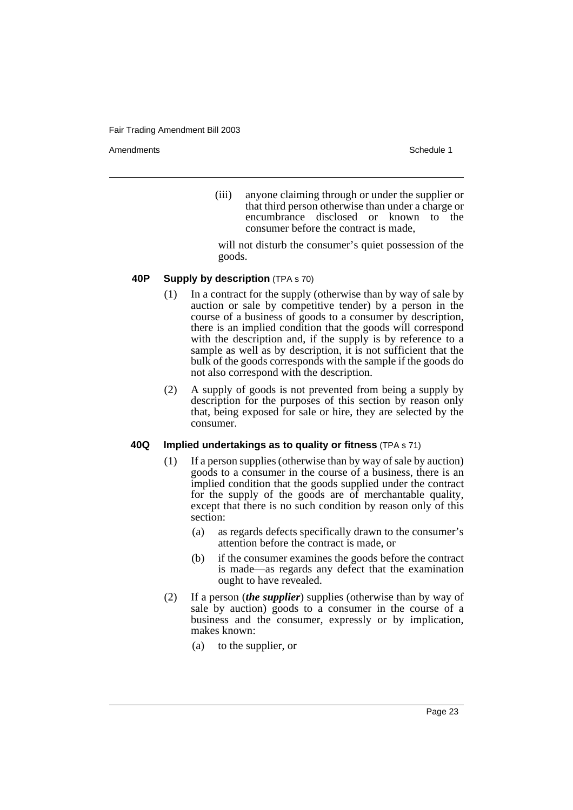Amendments **Schedule 1** and the set of the set of the set of the set of the set of the set of the set of the set of the set of the set of the set of the set of the set of the set of the set of the set of the set of the set

(iii) anyone claiming through or under the supplier or that third person otherwise than under a charge or encumbrance disclosed or known to the consumer before the contract is made,

will not disturb the consumer's quiet possession of the goods.

# **40P Supply by description** (TPA s 70)

- (1) In a contract for the supply (otherwise than by way of sale by auction or sale by competitive tender) by a person in the course of a business of goods to a consumer by description, there is an implied condition that the goods will correspond with the description and, if the supply is by reference to a sample as well as by description, it is not sufficient that the bulk of the goods corresponds with the sample if the goods do not also correspond with the description.
- (2) A supply of goods is not prevented from being a supply by description for the purposes of this section by reason only that, being exposed for sale or hire, they are selected by the consumer.

# **40Q Implied undertakings as to quality or fitness** (TPA s 71)

- (1) If a person supplies (otherwise than by way of sale by auction) goods to a consumer in the course of a business, there is an implied condition that the goods supplied under the contract for the supply of the goods are of merchantable quality, except that there is no such condition by reason only of this section:
	- (a) as regards defects specifically drawn to the consumer's attention before the contract is made, or
	- (b) if the consumer examines the goods before the contract is made—as regards any defect that the examination ought to have revealed.
- (2) If a person (*the supplier*) supplies (otherwise than by way of sale by auction) goods to a consumer in the course of a business and the consumer, expressly or by implication, makes known:
	- (a) to the supplier, or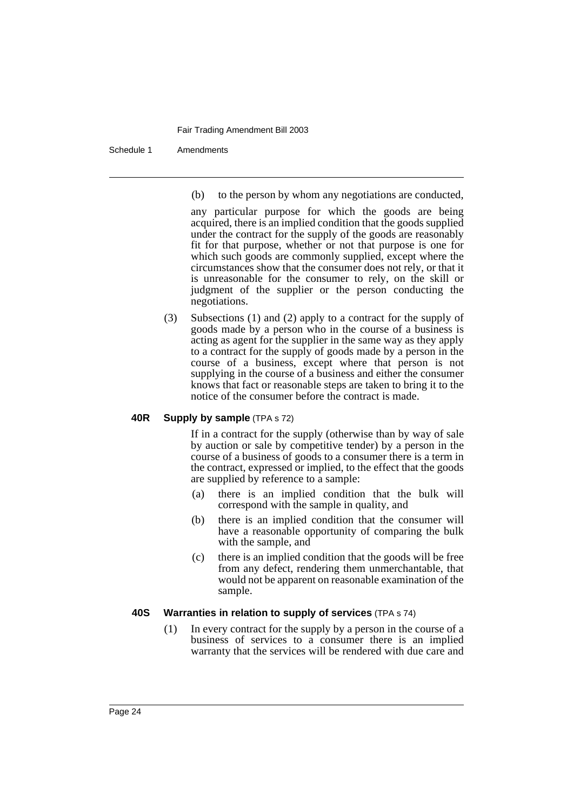Schedule 1 Amendments

(b) to the person by whom any negotiations are conducted,

any particular purpose for which the goods are being acquired, there is an implied condition that the goods supplied under the contract for the supply of the goods are reasonably fit for that purpose, whether or not that purpose is one for which such goods are commonly supplied, except where the circumstances show that the consumer does not rely, or that it is unreasonable for the consumer to rely, on the skill or judgment of the supplier or the person conducting the negotiations.

(3) Subsections (1) and (2) apply to a contract for the supply of goods made by a person who in the course of a business is acting as agent for the supplier in the same way as they apply to a contract for the supply of goods made by a person in the course of a business, except where that person is not supplying in the course of a business and either the consumer knows that fact or reasonable steps are taken to bring it to the notice of the consumer before the contract is made.

# **40R Supply by sample** (TPA s 72)

If in a contract for the supply (otherwise than by way of sale by auction or sale by competitive tender) by a person in the course of a business of goods to a consumer there is a term in the contract, expressed or implied, to the effect that the goods are supplied by reference to a sample:

- (a) there is an implied condition that the bulk will correspond with the sample in quality, and
- (b) there is an implied condition that the consumer will have a reasonable opportunity of comparing the bulk with the sample, and
- (c) there is an implied condition that the goods will be free from any defect, rendering them unmerchantable, that would not be apparent on reasonable examination of the sample.

# **40S Warranties in relation to supply of services** (TPA s 74)

(1) In every contract for the supply by a person in the course of a business of services to a consumer there is an implied warranty that the services will be rendered with due care and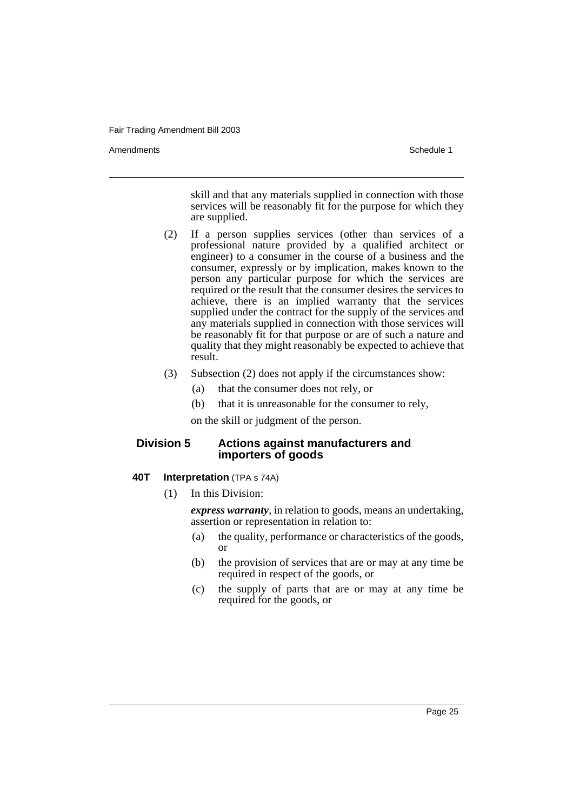Amendments Schedule 1

skill and that any materials supplied in connection with those services will be reasonably fit for the purpose for which they are supplied.

- (2) If a person supplies services (other than services of a professional nature provided by a qualified architect or engineer) to a consumer in the course of a business and the consumer, expressly or by implication, makes known to the person any particular purpose for which the services are required or the result that the consumer desires the services to achieve, there is an implied warranty that the services supplied under the contract for the supply of the services and any materials supplied in connection with those services will be reasonably fit for that purpose or are of such a nature and quality that they might reasonably be expected to achieve that result.
- (3) Subsection (2) does not apply if the circumstances show:
	- (a) that the consumer does not rely, or
	- (b) that it is unreasonable for the consumer to rely,

on the skill or judgment of the person.

# **Division 5 Actions against manufacturers and importers of goods**

# **40T Interpretation** (TPA s 74A)

(1) In this Division:

*express warranty*, in relation to goods, means an undertaking, assertion or representation in relation to:

- (a) the quality, performance or characteristics of the goods, or
- (b) the provision of services that are or may at any time be required in respect of the goods, or
- (c) the supply of parts that are or may at any time be required for the goods, or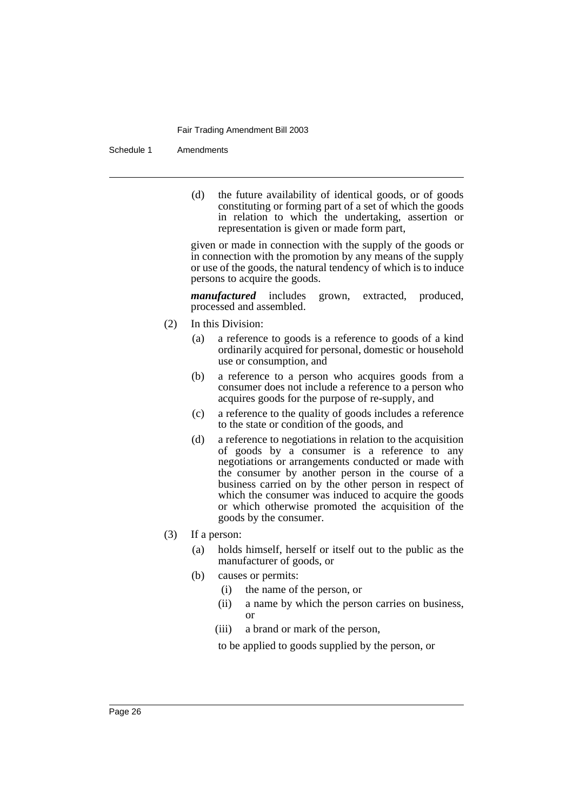#### Schedule 1 Amendments

(d) the future availability of identical goods, or of goods constituting or forming part of a set of which the goods in relation to which the undertaking, assertion or representation is given or made form part,

given or made in connection with the supply of the goods or in connection with the promotion by any means of the supply or use of the goods, the natural tendency of which is to induce persons to acquire the goods.

*manufactured* includes grown, extracted, produced, processed and assembled.

- (2) In this Division:
	- (a) a reference to goods is a reference to goods of a kind ordinarily acquired for personal, domestic or household use or consumption, and
	- (b) a reference to a person who acquires goods from a consumer does not include a reference to a person who acquires goods for the purpose of re-supply, and
	- (c) a reference to the quality of goods includes a reference to the state or condition of the goods, and
	- (d) a reference to negotiations in relation to the acquisition of goods by a consumer is a reference to any negotiations or arrangements conducted or made with the consumer by another person in the course of a business carried on by the other person in respect of which the consumer was induced to acquire the goods or which otherwise promoted the acquisition of the goods by the consumer.
- (3) If a person:
	- (a) holds himself, herself or itself out to the public as the manufacturer of goods, or
	- (b) causes or permits:
		- (i) the name of the person, or
		- (ii) a name by which the person carries on business, or
		- (iii) a brand or mark of the person,

to be applied to goods supplied by the person, or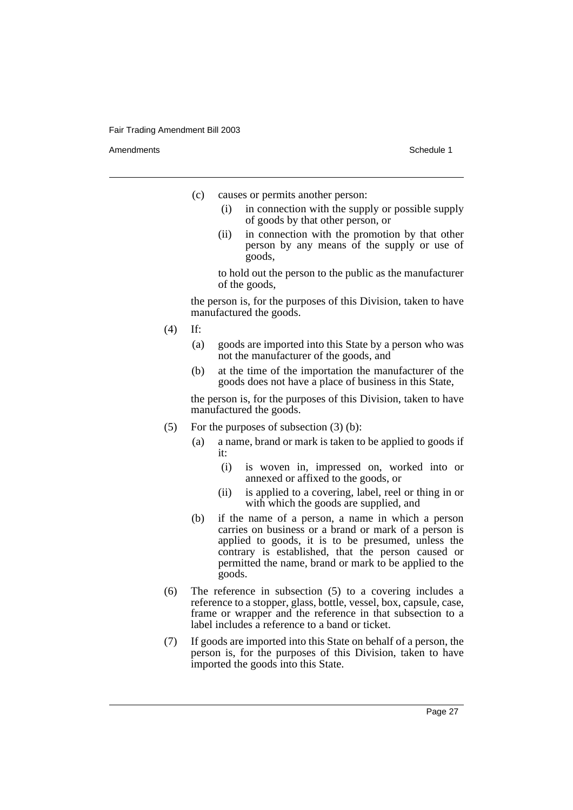Amendments **Schedule 1** and the set of the set of the set of the set of the set of the set of the set of the set of the set of the set of the set of the set of the set of the set of the set of the set of the set of the set

- (c) causes or permits another person:
	- (i) in connection with the supply or possible supply of goods by that other person, or
	- (ii) in connection with the promotion by that other person by any means of the supply or use of goods,

to hold out the person to the public as the manufacturer of the goods,

the person is, for the purposes of this Division, taken to have manufactured the goods.

- (4) If:
	- (a) goods are imported into this State by a person who was not the manufacturer of the goods, and
	- (b) at the time of the importation the manufacturer of the goods does not have a place of business in this State,

the person is, for the purposes of this Division, taken to have manufactured the goods.

- (5) For the purposes of subsection (3) (b):
	- (a) a name, brand or mark is taken to be applied to goods if it:
		- (i) is woven in, impressed on, worked into or annexed or affixed to the goods, or
		- (ii) is applied to a covering, label, reel or thing in or with which the goods are supplied, and
	- (b) if the name of a person, a name in which a person carries on business or a brand or mark of a person is applied to goods, it is to be presumed, unless the contrary is established, that the person caused or permitted the name, brand or mark to be applied to the goods.
- (6) The reference in subsection (5) to a covering includes a reference to a stopper, glass, bottle, vessel, box, capsule, case, frame or wrapper and the reference in that subsection to a label includes a reference to a band or ticket.
- (7) If goods are imported into this State on behalf of a person, the person is, for the purposes of this Division, taken to have imported the goods into this State.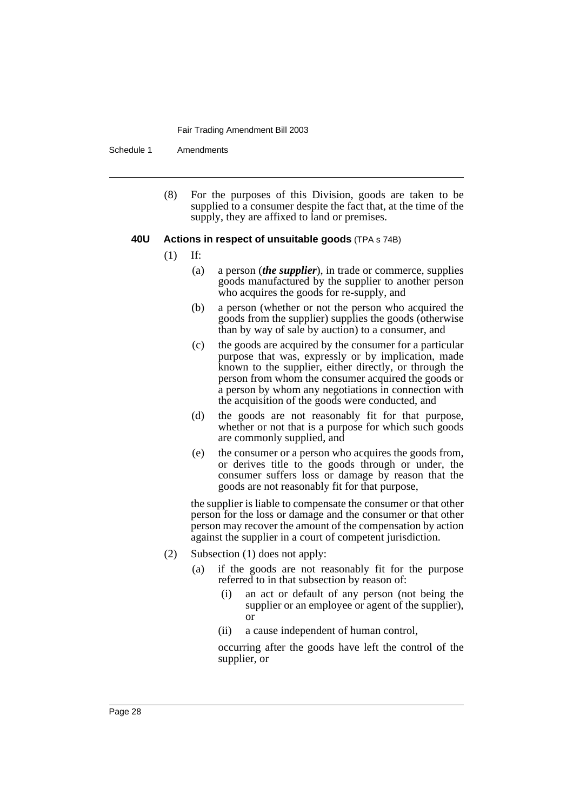Schedule 1 Amendments

(8) For the purposes of this Division, goods are taken to be supplied to a consumer despite the fact that, at the time of the supply, they are affixed to land or premises.

## **40U Actions in respect of unsuitable goods** (TPA s 74B)

- (1) If:
	- (a) a person (*the supplier*), in trade or commerce, supplies goods manufactured by the supplier to another person who acquires the goods for re-supply, and
	- (b) a person (whether or not the person who acquired the goods from the supplier) supplies the goods (otherwise than by way of sale by auction) to a consumer, and
	- (c) the goods are acquired by the consumer for a particular purpose that was, expressly or by implication, made known to the supplier, either directly, or through the person from whom the consumer acquired the goods or a person by whom any negotiations in connection with the acquisition of the goods were conducted, and
	- (d) the goods are not reasonably fit for that purpose, whether or not that is a purpose for which such goods are commonly supplied, and
	- (e) the consumer or a person who acquires the goods from, or derives title to the goods through or under, the consumer suffers loss or damage by reason that the goods are not reasonably fit for that purpose,

the supplier is liable to compensate the consumer or that other person for the loss or damage and the consumer or that other person may recover the amount of the compensation by action against the supplier in a court of competent jurisdiction.

- (2) Subsection (1) does not apply:
	- (a) if the goods are not reasonably fit for the purpose referred to in that subsection by reason of:
		- (i) an act or default of any person (not being the supplier or an employee or agent of the supplier), or
		- (ii) a cause independent of human control,

occurring after the goods have left the control of the supplier, or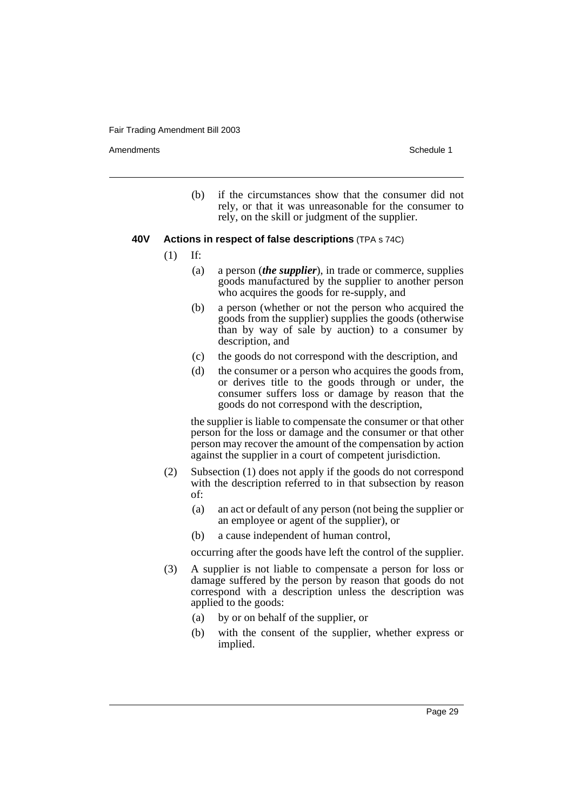Amendments **Schedule 1** and the set of the set of the set of the set of the set of the set of the set of the set of the set of the set of the set of the set of the set of the set of the set of the set of the set of the set

(b) if the circumstances show that the consumer did not rely, or that it was unreasonable for the consumer to rely, on the skill or judgment of the supplier.

## **40V Actions in respect of false descriptions** (TPA s 74C)

- (1) If:
	- (a) a person (*the supplier*), in trade or commerce, supplies goods manufactured by the supplier to another person who acquires the goods for re-supply, and
	- (b) a person (whether or not the person who acquired the goods from the supplier) supplies the goods (otherwise than by way of sale by auction) to a consumer by description, and
	- (c) the goods do not correspond with the description, and
	- (d) the consumer or a person who acquires the goods from, or derives title to the goods through or under, the consumer suffers loss or damage by reason that the goods do not correspond with the description,

the supplier is liable to compensate the consumer or that other person for the loss or damage and the consumer or that other person may recover the amount of the compensation by action against the supplier in a court of competent jurisdiction.

- (2) Subsection (1) does not apply if the goods do not correspond with the description referred to in that subsection by reason of:
	- (a) an act or default of any person (not being the supplier or an employee or agent of the supplier), or
	- (b) a cause independent of human control,

occurring after the goods have left the control of the supplier.

- (3) A supplier is not liable to compensate a person for loss or damage suffered by the person by reason that goods do not correspond with a description unless the description was applied to the goods:
	- (a) by or on behalf of the supplier, or
	- (b) with the consent of the supplier, whether express or implied.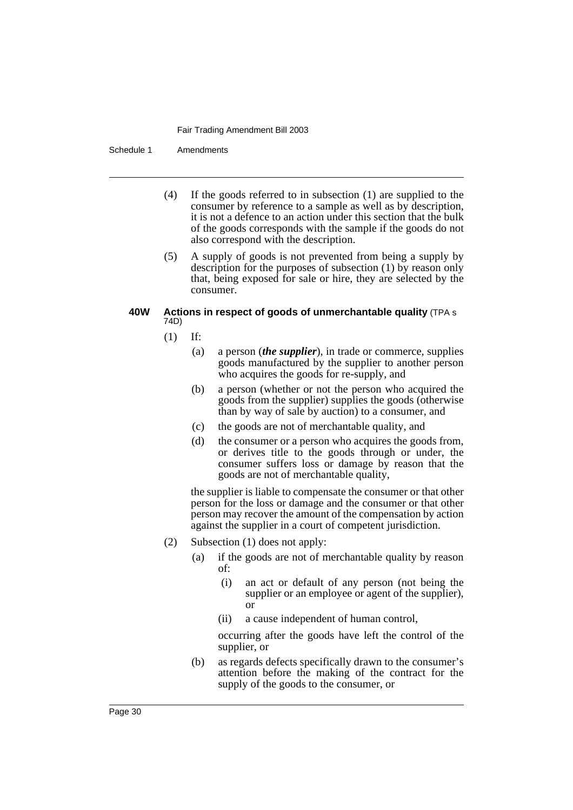Schedule 1 Amendments

- (4) If the goods referred to in subsection (1) are supplied to the consumer by reference to a sample as well as by description, it is not a defence to an action under this section that the bulk of the goods corresponds with the sample if the goods do not also correspond with the description.
- (5) A supply of goods is not prevented from being a supply by description for the purposes of subsection (1) by reason only that, being exposed for sale or hire, they are selected by the consumer.

# **40W Actions in respect of goods of unmerchantable quality** (TPA s 74D)

- (1) If:
	- (a) a person (*the supplier*), in trade or commerce, supplies goods manufactured by the supplier to another person who acquires the goods for re-supply, and
	- (b) a person (whether or not the person who acquired the goods from the supplier) supplies the goods (otherwise than by way of sale by auction) to a consumer, and
	- (c) the goods are not of merchantable quality, and
	- (d) the consumer or a person who acquires the goods from, or derives title to the goods through or under, the consumer suffers loss or damage by reason that the goods are not of merchantable quality,

the supplier is liable to compensate the consumer or that other person for the loss or damage and the consumer or that other person may recover the amount of the compensation by action against the supplier in a court of competent jurisdiction.

- (2) Subsection (1) does not apply:
	- (a) if the goods are not of merchantable quality by reason of:
		- (i) an act or default of any person (not being the supplier or an employee or agent of the supplier), or
		- (ii) a cause independent of human control,

occurring after the goods have left the control of the supplier, or

(b) as regards defects specifically drawn to the consumer's attention before the making of the contract for the supply of the goods to the consumer, or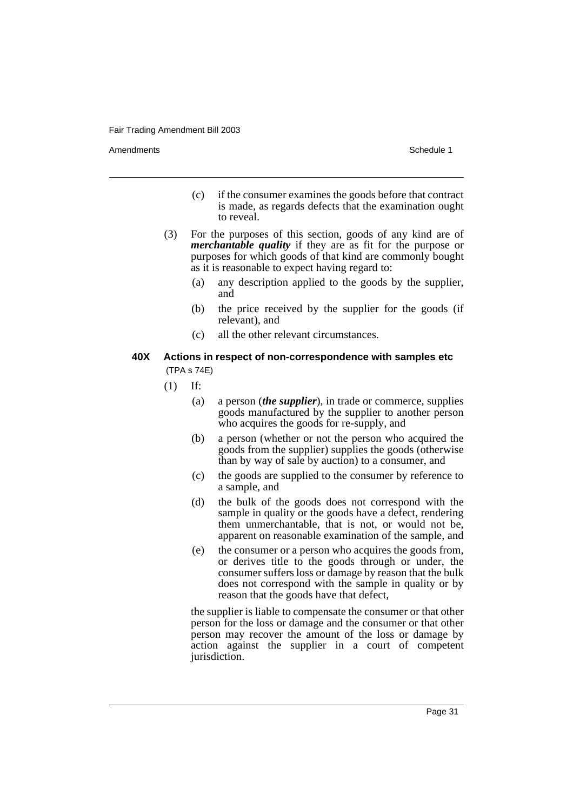Amendments **Schedule 1** and the set of the set of the set of the set of the set of the set of the set of the set of the set of the set of the set of the set of the set of the set of the set of the set of the set of the set

- (c) if the consumer examines the goods before that contract is made, as regards defects that the examination ought to reveal.
- (3) For the purposes of this section, goods of any kind are of *merchantable quality* if they are as fit for the purpose or purposes for which goods of that kind are commonly bought as it is reasonable to expect having regard to:
	- (a) any description applied to the goods by the supplier, and
	- (b) the price received by the supplier for the goods (if relevant), and
	- (c) all the other relevant circumstances.

# **40X Actions in respect of non-correspondence with samples etc** (TPA s 74E)

- (1) If:
	- (a) a person (*the supplier*), in trade or commerce, supplies goods manufactured by the supplier to another person who acquires the goods for re-supply, and
	- (b) a person (whether or not the person who acquired the goods from the supplier) supplies the goods (otherwise than by way of sale by auction) to a consumer, and
	- (c) the goods are supplied to the consumer by reference to a sample, and
	- (d) the bulk of the goods does not correspond with the sample in quality or the goods have a defect, rendering them unmerchantable, that is not, or would not be, apparent on reasonable examination of the sample, and
	- (e) the consumer or a person who acquires the goods from, or derives title to the goods through or under, the consumer suffers loss or damage by reason that the bulk does not correspond with the sample in quality or by reason that the goods have that defect,

the supplier is liable to compensate the consumer or that other person for the loss or damage and the consumer or that other person may recover the amount of the loss or damage by action against the supplier in a court of competent jurisdiction.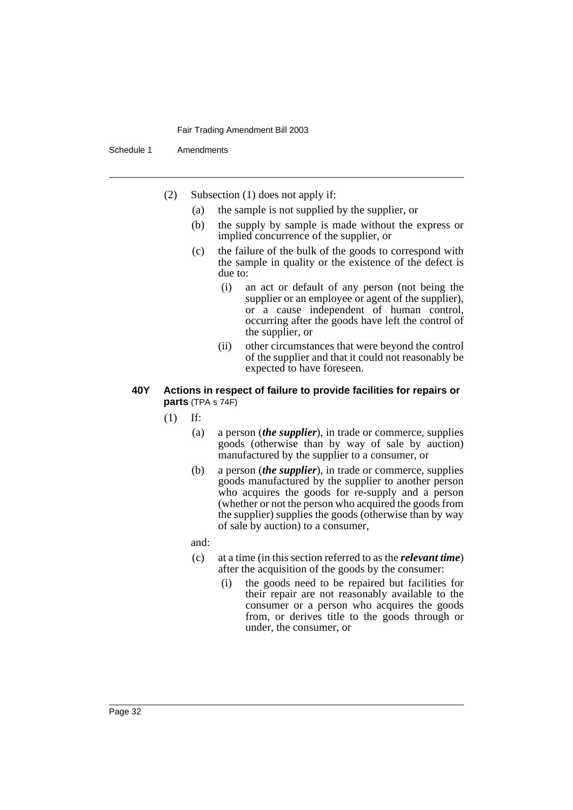Schedule 1 Amendments

- (2) Subsection (1) does not apply if:
	- (a) the sample is not supplied by the supplier, or
	- (b) the supply by sample is made without the express or implied concurrence of the supplier, or
	- (c) the failure of the bulk of the goods to correspond with the sample in quality or the existence of the defect is due to:
		- (i) an act or default of any person (not being the supplier or an employee or agent of the supplier), or a cause independent of human control, occurring after the goods have left the control of the supplier, or
		- (ii) other circumstances that were beyond the control of the supplier and that it could not reasonably be expected to have foreseen.

# **40Y Actions in respect of failure to provide facilities for repairs or parts** (TPA s 74F)

- (1) If:
	- (a) a person (*the supplier*), in trade or commerce, supplies goods (otherwise than by way of sale by auction) manufactured by the supplier to a consumer, or
	- (b) a person (*the supplier*), in trade or commerce, supplies goods manufactured by the supplier to another person who acquires the goods for re-supply and a person (whether or not the person who acquired the goods from the supplier) supplies the goods (otherwise than by way of sale by auction) to a consumer,

and:

- (c) at a time (in this section referred to as the *relevant time*) after the acquisition of the goods by the consumer:
	- (i) the goods need to be repaired but facilities for their repair are not reasonably available to the consumer or a person who acquires the goods from, or derives title to the goods through or under, the consumer, or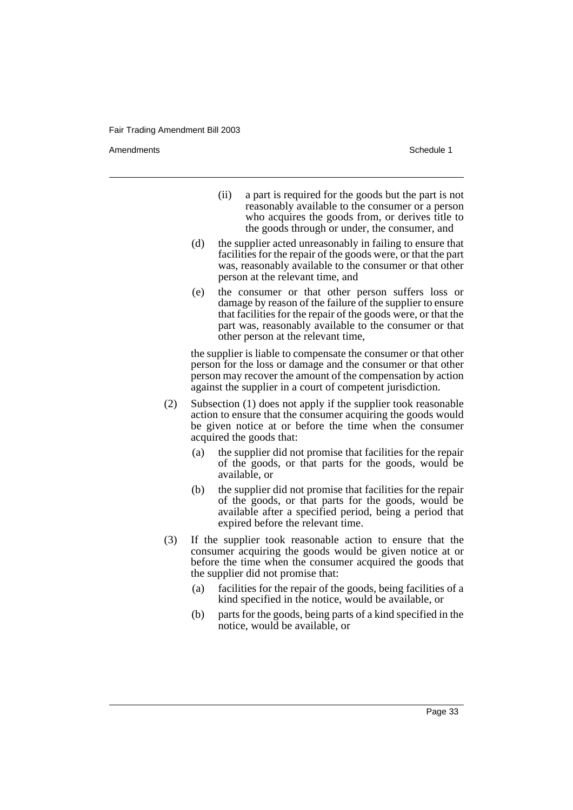Amendments **Schedule 1** and the set of the set of the set of the set of the set of the set of the set of the set of the set of the set of the set of the set of the set of the set of the set of the set of the set of the set

- (ii) a part is required for the goods but the part is not reasonably available to the consumer or a person who acquires the goods from, or derives title to the goods through or under, the consumer, and
- (d) the supplier acted unreasonably in failing to ensure that facilities for the repair of the goods were, or that the part was, reasonably available to the consumer or that other person at the relevant time, and
- (e) the consumer or that other person suffers loss or damage by reason of the failure of the supplier to ensure that facilities for the repair of the goods were, or that the part was, reasonably available to the consumer or that other person at the relevant time,

the supplier is liable to compensate the consumer or that other person for the loss or damage and the consumer or that other person may recover the amount of the compensation by action against the supplier in a court of competent jurisdiction.

- (2) Subsection (1) does not apply if the supplier took reasonable action to ensure that the consumer acquiring the goods would be given notice at or before the time when the consumer acquired the goods that:
	- (a) the supplier did not promise that facilities for the repair of the goods, or that parts for the goods, would be available, or
	- (b) the supplier did not promise that facilities for the repair of the goods, or that parts for the goods, would be available after a specified period, being a period that expired before the relevant time.
- (3) If the supplier took reasonable action to ensure that the consumer acquiring the goods would be given notice at or before the time when the consumer acquired the goods that the supplier did not promise that:
	- (a) facilities for the repair of the goods, being facilities of a kind specified in the notice, would be available, or
	- (b) parts for the goods, being parts of a kind specified in the notice, would be available, or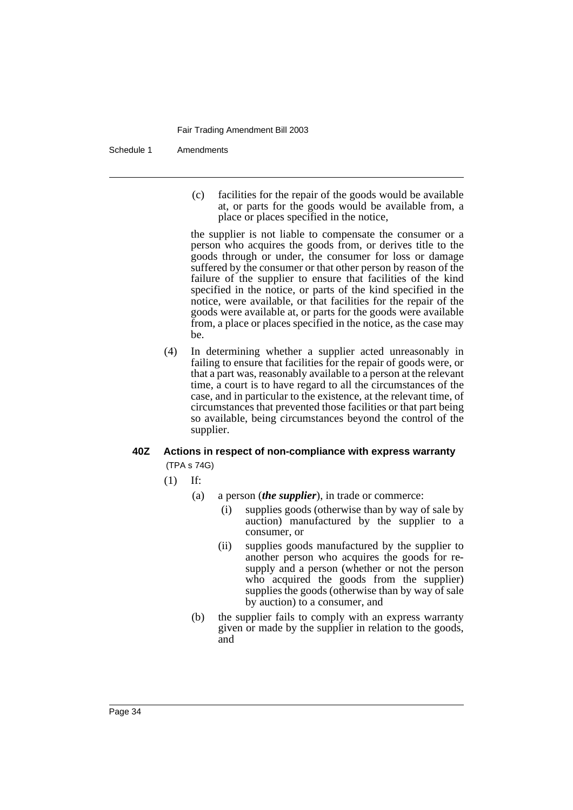Schedule 1 Amendments

(c) facilities for the repair of the goods would be available at, or parts for the goods would be available from, a place or places specified in the notice,

the supplier is not liable to compensate the consumer or a person who acquires the goods from, or derives title to the goods through or under, the consumer for loss or damage suffered by the consumer or that other person by reason of the failure of the supplier to ensure that facilities of the kind specified in the notice, or parts of the kind specified in the notice, were available, or that facilities for the repair of the goods were available at, or parts for the goods were available from, a place or places specified in the notice, as the case may be.

(4) In determining whether a supplier acted unreasonably in failing to ensure that facilities for the repair of goods were, or that a part was, reasonably available to a person at the relevant time, a court is to have regard to all the circumstances of the case, and in particular to the existence, at the relevant time, of circumstances that prevented those facilities or that part being so available, being circumstances beyond the control of the supplier.

# **40Z Actions in respect of non-compliance with express warranty** (TPA s 74G)

- (1) If:
	- (a) a person (*the supplier*), in trade or commerce:
		- (i) supplies goods (otherwise than by way of sale by auction) manufactured by the supplier to a consumer, or
		- (ii) supplies goods manufactured by the supplier to another person who acquires the goods for resupply and a person (whether or not the person who acquired the goods from the supplier) supplies the goods (otherwise than by way of sale by auction) to a consumer, and
	- (b) the supplier fails to comply with an express warranty given or made by the supplier in relation to the goods, and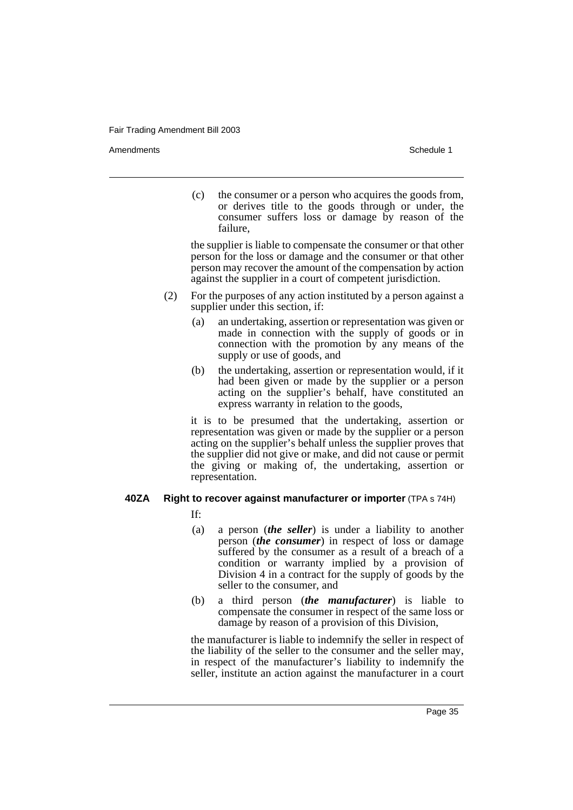Amendments **Schedule 1** and the set of the set of the set of the set of the set of the set of the set of the set of the set of the set of the set of the set of the set of the set of the set of the set of the set of the set

(c) the consumer or a person who acquires the goods from, or derives title to the goods through or under, the consumer suffers loss or damage by reason of the failure,

the supplier is liable to compensate the consumer or that other person for the loss or damage and the consumer or that other person may recover the amount of the compensation by action against the supplier in a court of competent jurisdiction.

- (2) For the purposes of any action instituted by a person against a supplier under this section, if:
	- (a) an undertaking, assertion or representation was given or made in connection with the supply of goods or in connection with the promotion by any means of the supply or use of goods, and
	- (b) the undertaking, assertion or representation would, if it had been given or made by the supplier or a person acting on the supplier's behalf, have constituted an express warranty in relation to the goods,

it is to be presumed that the undertaking, assertion or representation was given or made by the supplier or a person acting on the supplier's behalf unless the supplier proves that the supplier did not give or make, and did not cause or permit the giving or making of, the undertaking, assertion or representation.

# **40ZA Right to recover against manufacturer or importer** (TPA s 74H)

If:

- (a) a person (*the seller*) is under a liability to another person (*the consumer*) in respect of loss or damage suffered by the consumer as a result of a breach of a condition or warranty implied by a provision of Division 4 in a contract for the supply of goods by the seller to the consumer, and
- (b) a third person (*the manufacturer*) is liable to compensate the consumer in respect of the same loss or damage by reason of a provision of this Division,

the manufacturer is liable to indemnify the seller in respect of the liability of the seller to the consumer and the seller may, in respect of the manufacturer's liability to indemnify the seller, institute an action against the manufacturer in a court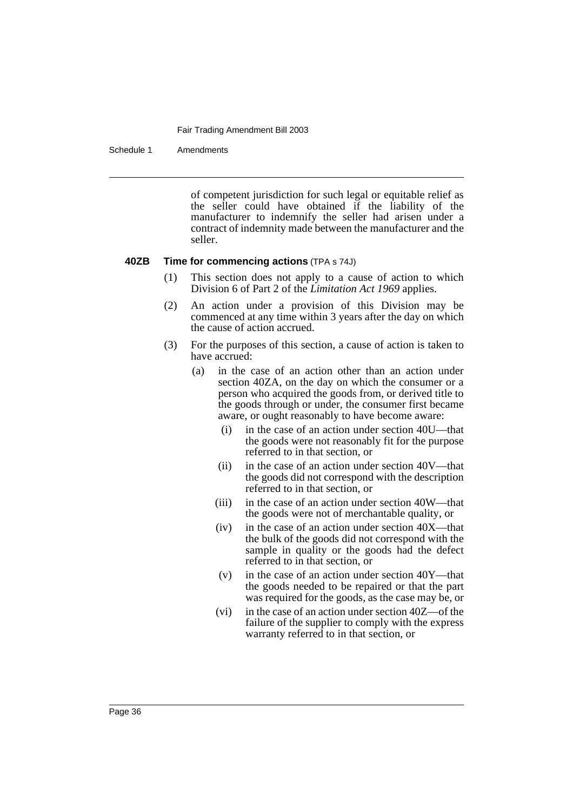Schedule 1 Amendments

of competent jurisdiction for such legal or equitable relief as the seller could have obtained if the liability of the manufacturer to indemnify the seller had arisen under a contract of indemnity made between the manufacturer and the seller.

### **40ZB Time for commencing actions** (TPA s 74J)

- (1) This section does not apply to a cause of action to which Division 6 of Part 2 of the *Limitation Act 1969* applies.
- (2) An action under a provision of this Division may be commenced at any time within 3 years after the day on which the cause of action accrued.
- (3) For the purposes of this section, a cause of action is taken to have accrued:
	- (a) in the case of an action other than an action under section 40ZA, on the day on which the consumer or a person who acquired the goods from, or derived title to the goods through or under, the consumer first became aware, or ought reasonably to have become aware:
		- (i) in the case of an action under section 40U—that the goods were not reasonably fit for the purpose referred to in that section, or
		- (ii) in the case of an action under section 40V—that the goods did not correspond with the description referred to in that section, or
		- (iii) in the case of an action under section 40W—that the goods were not of merchantable quality, or
		- (iv) in the case of an action under section 40X—that the bulk of the goods did not correspond with the sample in quality or the goods had the defect referred to in that section, or
		- $(v)$  in the case of an action under section 40Y—that the goods needed to be repaired or that the part was required for the goods, as the case may be, or
		- (vi) in the case of an action under section 40Z—of the failure of the supplier to comply with the express warranty referred to in that section, or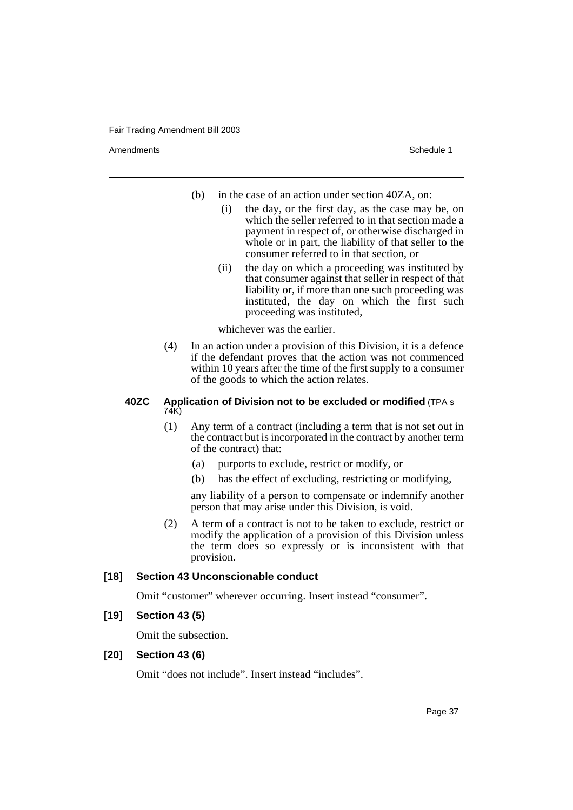Amendments **Schedule 1** and the set of the set of the set of the set of the set of the set of the set of the set of the set of the set of the set of the set of the set of the set of the set of the set of the set of the set

- (b) in the case of an action under section 40ZA, on:
	- (i) the day, or the first day, as the case may be, on which the seller referred to in that section made a payment in respect of, or otherwise discharged in whole or in part, the liability of that seller to the consumer referred to in that section, or
	- (ii) the day on which a proceeding was instituted by that consumer against that seller in respect of that liability or, if more than one such proceeding was instituted, the day on which the first such proceeding was instituted,

whichever was the earlier.

(4) In an action under a provision of this Division, it is a defence if the defendant proves that the action was not commenced within 10 years after the time of the first supply to a consumer of the goods to which the action relates.

### **40ZC Application of Division not to be excluded or modified** (TPA s 74K)

- (1) Any term of a contract (including a term that is not set out in the contract but is incorporated in the contract by another term of the contract) that:
	- (a) purports to exclude, restrict or modify, or
	- (b) has the effect of excluding, restricting or modifying,

any liability of a person to compensate or indemnify another person that may arise under this Division, is void.

(2) A term of a contract is not to be taken to exclude, restrict or modify the application of a provision of this Division unless the term does so expressly or is inconsistent with that provision.

# **[18] Section 43 Unconscionable conduct**

Omit "customer" wherever occurring. Insert instead "consumer".

# **[19] Section 43 (5)**

Omit the subsection.

# **[20] Section 43 (6)**

Omit "does not include". Insert instead "includes".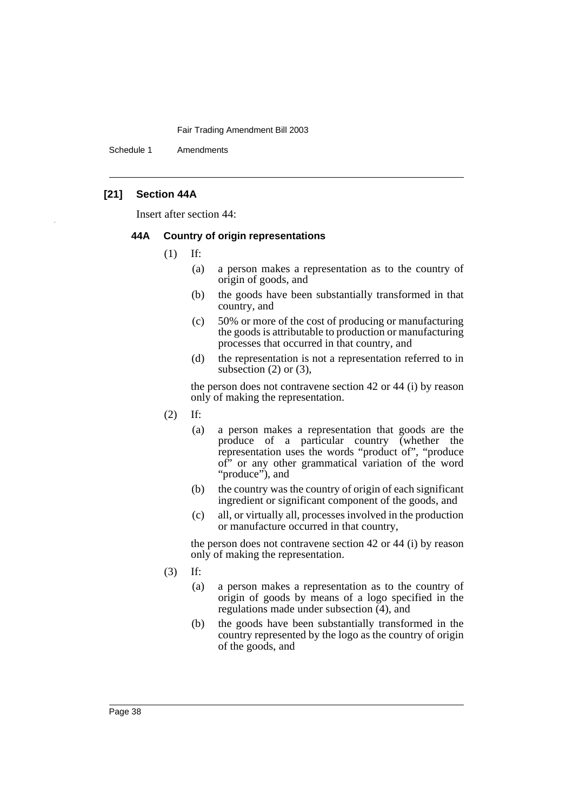Schedule 1 Amendments

# **[21] Section 44A**

Insert after section 44:

# **44A Country of origin representations**

- (1) If:
	- (a) a person makes a representation as to the country of origin of goods, and
	- (b) the goods have been substantially transformed in that country, and
	- (c) 50% or more of the cost of producing or manufacturing the goods is attributable to production or manufacturing processes that occurred in that country, and
	- (d) the representation is not a representation referred to in subsection (2) or (3),

the person does not contravene section 42 or 44 (i) by reason only of making the representation.

- (2) If:
	- (a) a person makes a representation that goods are the produce of a particular country (whether the representation uses the words "product of", "produce of" or any other grammatical variation of the word "produce"), and
	- (b) the country was the country of origin of each significant ingredient or significant component of the goods, and
	- (c) all, or virtually all, processes involved in the production or manufacture occurred in that country,

the person does not contravene section 42 or 44 (i) by reason only of making the representation.

- (3) If:
	- (a) a person makes a representation as to the country of origin of goods by means of a logo specified in the regulations made under subsection (4), and
	- (b) the goods have been substantially transformed in the country represented by the logo as the country of origin of the goods, and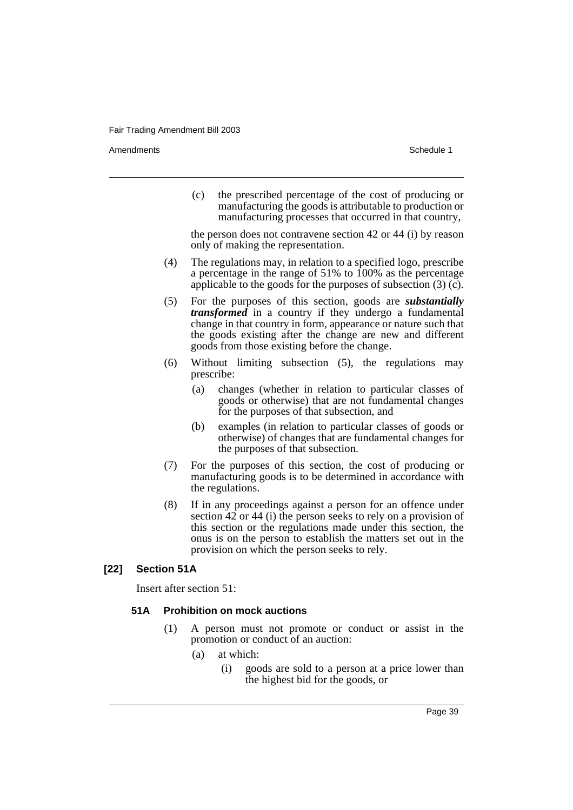Amendments **Schedule 1** and the set of the set of the set of the set of the set of the set of the set of the set of the set of the set of the set of the set of the set of the set of the set of the set of the set of the set

(c) the prescribed percentage of the cost of producing or manufacturing the goods is attributable to production or manufacturing processes that occurred in that country,

the person does not contravene section 42 or 44 (i) by reason only of making the representation.

- (4) The regulations may, in relation to a specified logo, prescribe a percentage in the range of 51% to 100% as the percentage applicable to the goods for the purposes of subsection (3) (c).
- (5) For the purposes of this section, goods are *substantially transformed* in a country if they undergo a fundamental change in that country in form, appearance or nature such that the goods existing after the change are new and different goods from those existing before the change.
- (6) Without limiting subsection (5), the regulations may prescribe:
	- (a) changes (whether in relation to particular classes of goods or otherwise) that are not fundamental changes for the purposes of that subsection, and
	- (b) examples (in relation to particular classes of goods or otherwise) of changes that are fundamental changes for the purposes of that subsection.
- (7) For the purposes of this section, the cost of producing or manufacturing goods is to be determined in accordance with the regulations.
- (8) If in any proceedings against a person for an offence under section 42 or 44 (i) the person seeks to rely on a provision of this section or the regulations made under this section, the onus is on the person to establish the matters set out in the provision on which the person seeks to rely.

# **[22] Section 51A**

Insert after section 51:

# **51A Prohibition on mock auctions**

- (1) A person must not promote or conduct or assist in the promotion or conduct of an auction:
	- (a) at which:
		- (i) goods are sold to a person at a price lower than the highest bid for the goods, or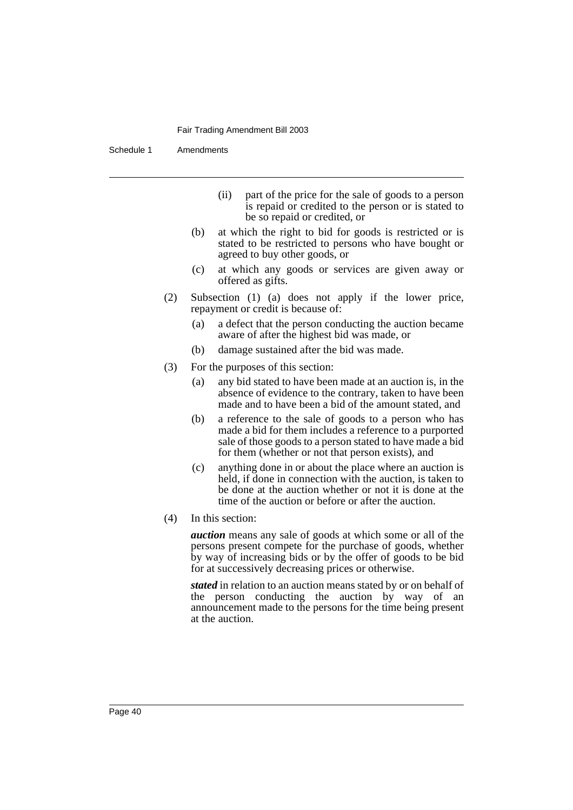Schedule 1 Amendments

- (ii) part of the price for the sale of goods to a person is repaid or credited to the person or is stated to be so repaid or credited, or
- (b) at which the right to bid for goods is restricted or is stated to be restricted to persons who have bought or agreed to buy other goods, or
- (c) at which any goods or services are given away or offered as gifts.
- (2) Subsection (1) (a) does not apply if the lower price, repayment or credit is because of:
	- (a) a defect that the person conducting the auction became aware of after the highest bid was made, or
	- (b) damage sustained after the bid was made.
- (3) For the purposes of this section:
	- (a) any bid stated to have been made at an auction is, in the absence of evidence to the contrary, taken to have been made and to have been a bid of the amount stated, and
	- (b) a reference to the sale of goods to a person who has made a bid for them includes a reference to a purported sale of those goods to a person stated to have made a bid for them (whether or not that person exists), and
	- (c) anything done in or about the place where an auction is held, if done in connection with the auction, is taken to be done at the auction whether or not it is done at the time of the auction or before or after the auction.
- (4) In this section:

*auction* means any sale of goods at which some or all of the persons present compete for the purchase of goods, whether by way of increasing bids or by the offer of goods to be bid for at successively decreasing prices or otherwise.

*stated* in relation to an auction means stated by or on behalf of the person conducting the auction by way of an announcement made to the persons for the time being present at the auction.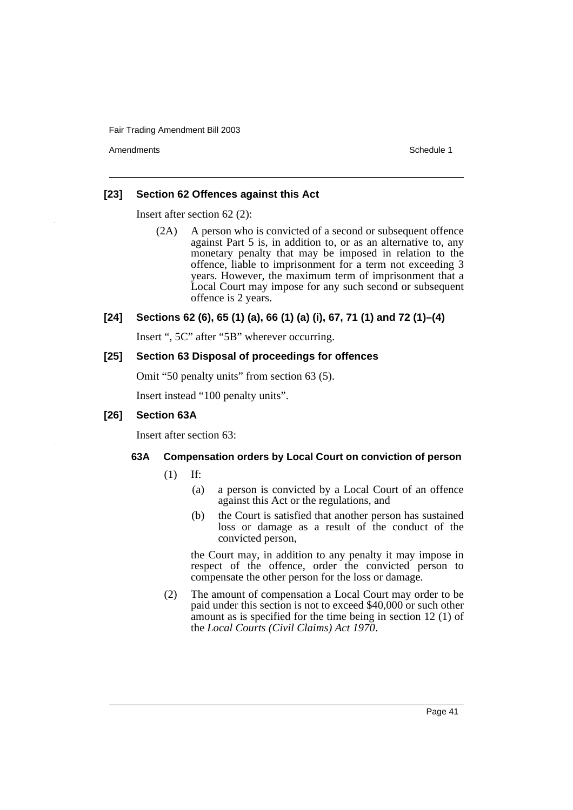Amendments **Schedule 1** and the set of the set of the set of the set of the set of the set of the set of the set of the set of the set of the set of the set of the set of the set of the set of the set of the set of the set

# **[23] Section 62 Offences against this Act**

Insert after section 62 (2):

(2A) A person who is convicted of a second or subsequent offence against Part 5 is, in addition to, or as an alternative to, any monetary penalty that may be imposed in relation to the offence, liable to imprisonment for a term not exceeding 3 years. However, the maximum term of imprisonment that a Local Court may impose for any such second or subsequent offence is 2 years.

# **[24] Sections 62 (6), 65 (1) (a), 66 (1) (a) (i), 67, 71 (1) and 72 (1)–(4)**

Insert ", 5C" after "5B" wherever occurring.

# **[25] Section 63 Disposal of proceedings for offences**

Omit "50 penalty units" from section 63 (5).

Insert instead "100 penalty units".

# **[26] Section 63A**

Insert after section 63:

# **63A Compensation orders by Local Court on conviction of person**

- (1) If:
	- (a) a person is convicted by a Local Court of an offence against this Act or the regulations, and
	- (b) the Court is satisfied that another person has sustained loss or damage as a result of the conduct of the convicted person,

the Court may, in addition to any penalty it may impose in respect of the offence, order the convicted person to compensate the other person for the loss or damage.

(2) The amount of compensation a Local Court may order to be paid under this section is not to exceed \$40,000 or such other amount as is specified for the time being in section 12 (1) of the *Local Courts (Civil Claims) Act 1970*.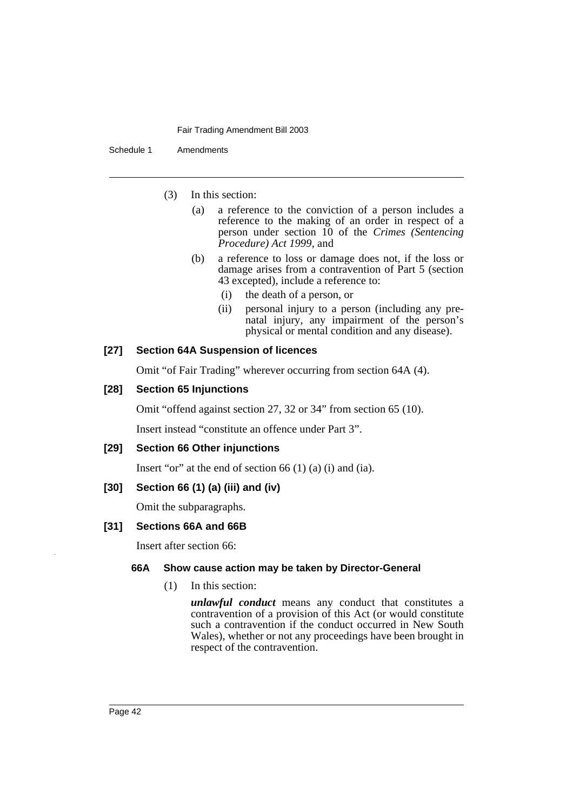Schedule 1 Amendments

- (3) In this section:
	- (a) a reference to the conviction of a person includes a reference to the making of an order in respect of a person under section 10 of the *Crimes (Sentencing Procedure) Act 1999*, and
	- (b) a reference to loss or damage does not, if the loss or damage arises from a contravention of Part 5 (section 43 excepted), include a reference to:
		- (i) the death of a person, or
		- (ii) personal injury to a person (including any prenatal injury, any impairment of the person's physical or mental condition and any disease).

# **[27] Section 64A Suspension of licences**

Omit "of Fair Trading" wherever occurring from section 64A (4).

# **[28] Section 65 Injunctions**

Omit "offend against section 27, 32 or 34" from section 65 (10).

Insert instead "constitute an offence under Part 3".

# **[29] Section 66 Other injunctions**

Insert "or" at the end of section  $66$  (1) (a) (i) and (ia).

# **[30] Section 66 (1) (a) (iii) and (iv)**

Omit the subparagraphs.

# **[31] Sections 66A and 66B**

Insert after section 66:

# **66A Show cause action may be taken by Director-General**

(1) In this section:

*unlawful conduct* means any conduct that constitutes a contravention of a provision of this Act (or would constitute such a contravention if the conduct occurred in New South Wales), whether or not any proceedings have been brought in respect of the contravention.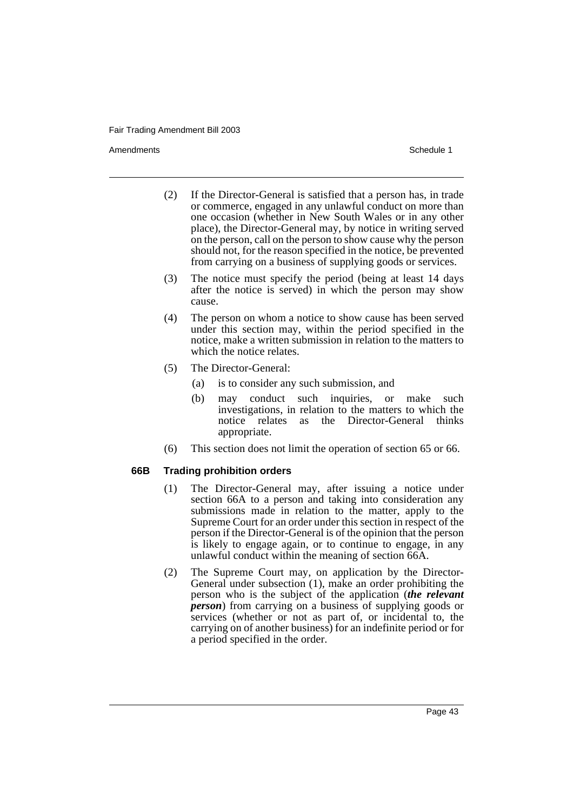Amendments **Schedule 1** and the set of the set of the set of the set of the set of the set of the set of the set of the set of the set of the set of the set of the set of the set of the set of the set of the set of the set

- (2) If the Director-General is satisfied that a person has, in trade or commerce, engaged in any unlawful conduct on more than one occasion (whether in New South Wales or in any other place), the Director-General may, by notice in writing served on the person, call on the person to show cause why the person should not, for the reason specified in the notice, be prevented from carrying on a business of supplying goods or services.
- (3) The notice must specify the period (being at least 14 days after the notice is served) in which the person may show cause.
- (4) The person on whom a notice to show cause has been served under this section may, within the period specified in the notice, make a written submission in relation to the matters to which the notice relates.
- (5) The Director-General:
	- (a) is to consider any such submission, and
	- (b) may conduct such inquiries, or make such investigations, in relation to the matters to which the notice relates as the Director-General thinks appropriate.
- (6) This section does not limit the operation of section 65 or 66.

# **66B Trading prohibition orders**

- (1) The Director-General may, after issuing a notice under section 66A to a person and taking into consideration any submissions made in relation to the matter, apply to the Supreme Court for an order under this section in respect of the person if the Director-General is of the opinion that the person is likely to engage again, or to continue to engage, in any unlawful conduct within the meaning of section 66A.
- (2) The Supreme Court may, on application by the Director-General under subsection (1), make an order prohibiting the person who is the subject of the application (*the relevant person*) from carrying on a business of supplying goods or services (whether or not as part of, or incidental to, the carrying on of another business) for an indefinite period or for a period specified in the order.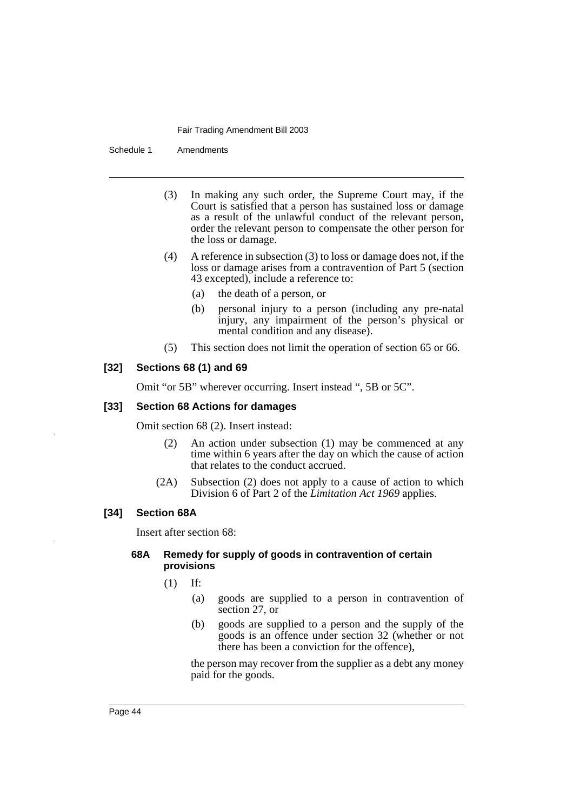Schedule 1 Amendments

- (3) In making any such order, the Supreme Court may, if the Court is satisfied that a person has sustained loss or damage as a result of the unlawful conduct of the relevant person, order the relevant person to compensate the other person for the loss or damage.
- (4) A reference in subsection (3) to loss or damage does not, if the loss or damage arises from a contravention of Part 5 (section 43 excepted), include a reference to:
	- (a) the death of a person, or
	- (b) personal injury to a person (including any pre-natal injury, any impairment of the person's physical or mental condition and any disease).
- (5) This section does not limit the operation of section 65 or 66.

# **[32] Sections 68 (1) and 69**

Omit "or 5B" wherever occurring. Insert instead ", 5B or 5C".

# **[33] Section 68 Actions for damages**

Omit section 68 (2). Insert instead:

- (2) An action under subsection (1) may be commenced at any time within 6 years after the day on which the cause of action that relates to the conduct accrued.
- (2A) Subsection (2) does not apply to a cause of action to which Division 6 of Part 2 of the *Limitation Act 1969* applies.

# **[34] Section 68A**

Insert after section 68:

# **68A Remedy for supply of goods in contravention of certain provisions**

- (1) If:
	- (a) goods are supplied to a person in contravention of section 27, or
	- (b) goods are supplied to a person and the supply of the goods is an offence under section 32 (whether or not there has been a conviction for the offence),

the person may recover from the supplier as a debt any money paid for the goods.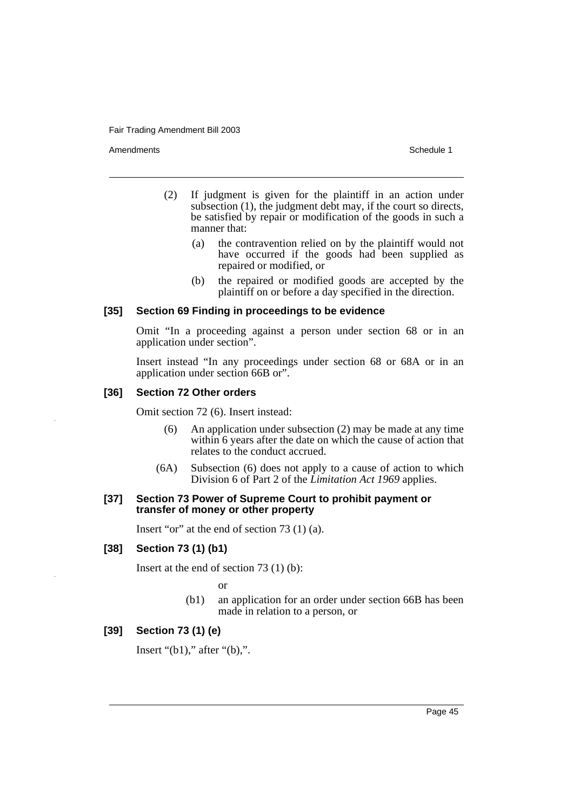Amendments **Schedule 1** and the set of the set of the set of the set of the set of the set of the set of the set of the set of the set of the set of the set of the set of the set of the set of the set of the set of the set

- (2) If judgment is given for the plaintiff in an action under subsection (1), the judgment debt may, if the court so directs, be satisfied by repair or modification of the goods in such a manner that:
	- (a) the contravention relied on by the plaintiff would not have occurred if the goods had been supplied as repaired or modified, or
	- (b) the repaired or modified goods are accepted by the plaintiff on or before a day specified in the direction.

# **[35] Section 69 Finding in proceedings to be evidence**

Omit "In a proceeding against a person under section 68 or in an application under section".

Insert instead "In any proceedings under section 68 or 68A or in an application under section 66B or".

# **[36] Section 72 Other orders**

Omit section 72 (6). Insert instead:

- (6) An application under subsection (2) may be made at any time within 6 years after the date on which the cause of action that relates to the conduct accrued.
- (6A) Subsection (6) does not apply to a cause of action to which Division 6 of Part 2 of the *Limitation Act 1969* applies.

# **[37] Section 73 Power of Supreme Court to prohibit payment or transfer of money or other property**

Insert "or" at the end of section 73 (1) (a).

### **[38] Section 73 (1) (b1)**

Insert at the end of section 73 (1) (b):

or

(b1) an application for an order under section 66B has been made in relation to a person, or

# **[39] Section 73 (1) (e)**

Insert " $(b1)$ ," after " $(b)$ ,".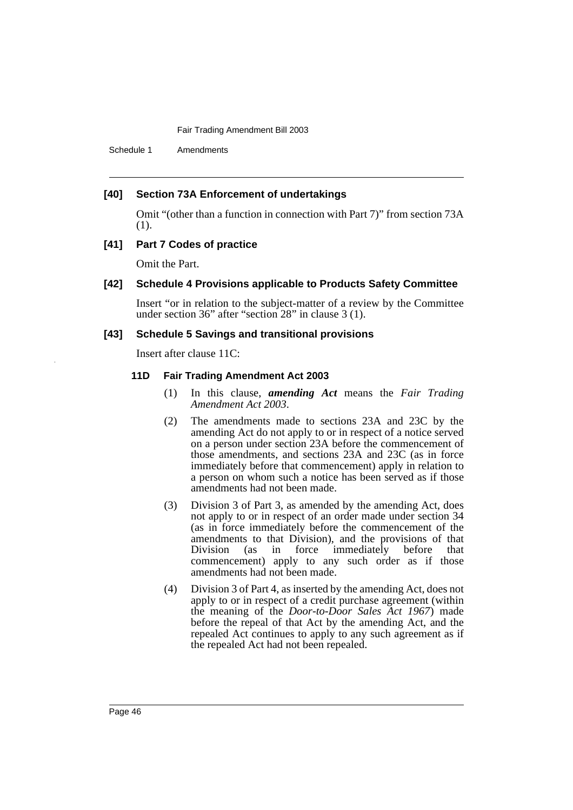Schedule 1 Amendments

# **[40] Section 73A Enforcement of undertakings**

Omit "(other than a function in connection with Part 7)" from section 73A (1).

# **[41] Part 7 Codes of practice**

Omit the Part.

# **[42] Schedule 4 Provisions applicable to Products Safety Committee**

Insert "or in relation to the subject-matter of a review by the Committee under section 36" after "section 28" in clause 3 (1).

### **[43] Schedule 5 Savings and transitional provisions**

Insert after clause 11C:

### **11D Fair Trading Amendment Act 2003**

- (1) In this clause, *amending Act* means the *Fair Trading Amendment Act 2003*.
- (2) The amendments made to sections 23A and 23C by the amending Act do not apply to or in respect of a notice served on a person under section 23A before the commencement of those amendments, and sections 23A and 23C (as in force immediately before that commencement) apply in relation to a person on whom such a notice has been served as if those amendments had not been made.
- (3) Division 3 of Part 3, as amended by the amending Act, does not apply to or in respect of an order made under section 34 (as in force immediately before the commencement of the amendments to that Division), and the provisions of that Division (as in force immediately before that commencement) apply to any such order as if those amendments had not been made.
- (4) Division 3 of Part 4, as inserted by the amending Act, does not apply to or in respect of a credit purchase agreement (within the meaning of the *Door-to-Door Sales Act 1967*) made before the repeal of that Act by the amending Act, and the repealed Act continues to apply to any such agreement as if the repealed Act had not been repealed.